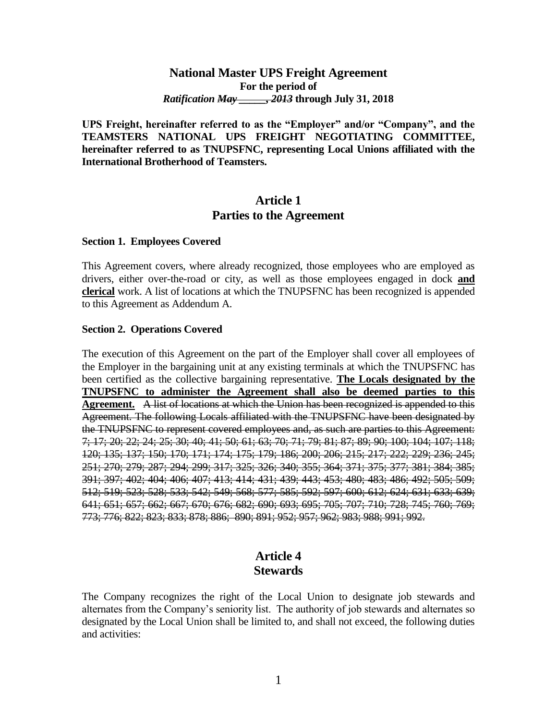### **National Master UPS Freight Agreement For the period of** *Ratification May \_\_\_\_\_, 2013* **through July 31, 2018**

**UPS Freight, hereinafter referred to as the "Employer" and/or "Company", and the TEAMSTERS NATIONAL UPS FREIGHT NEGOTIATING COMMITTEE, hereinafter referred to as TNUPSFNC, representing Local Unions affiliated with the International Brotherhood of Teamsters.**

### **Article 1 Parties to the Agreement**

#### **Section 1. Employees Covered**

This Agreement covers, where already recognized, those employees who are employed as drivers, either over-the-road or city, as well as those employees engaged in dock **and clerical** work. A list of locations at which the TNUPSFNC has been recognized is appended to this Agreement as Addendum A.

#### **Section 2. Operations Covered**

The execution of this Agreement on the part of the Employer shall cover all employees of the Employer in the bargaining unit at any existing terminals at which the TNUPSFNC has been certified as the collective bargaining representative. **The Locals designated by the TNUPSFNC to administer the Agreement shall also be deemed parties to this Agreement.** A list of locations at which the Union has been recognized is appended to this Agreement. The following Locals affiliated with the TNUPSFNC have been designated by the TNUPSFNC to represent covered employees and, as such are parties to this Agreement: 7; 17; 20; 22; 24; 25; 30; 40; 41; 50; 61; 63; 70; 71; 79; 81; 87; 89; 90; 100; 104; 107; 118; 120; 135; 137; 150; 170; 171; 174; 175; 179; 186; 200; 206; 215; 217; 222; 229; 236; 245; 251; 270; 279; 287; 294; 299; 317; 325; 326; 340; 355; 364; 371; 375; 377; 381; 384; 385; 391; 397; 402; 404; 406; 407; 413; 414; 431; 439; 443; 453; 480; 483; 486; 492; 505; 509; 512; 519; 523; 528; 533; 542; 549; 568; 577; 585; 592; 597; 600; 612; 624; 631; 633; 639; 641; 651; 657; 662; 667; 670; 676; 682; 690; 693; 695; 705; 707; 710; 728; 745; 760; 769; 773; 776; 822; 823; 833; 878; 886; 890; 891; 952; 957; 962; 983; 988; 991; 992.

### **Article 4 Stewards**

The Company recognizes the right of the Local Union to designate job stewards and alternates from the Company's seniority list. The authority of job stewards and alternates so designated by the Local Union shall be limited to, and shall not exceed, the following duties and activities: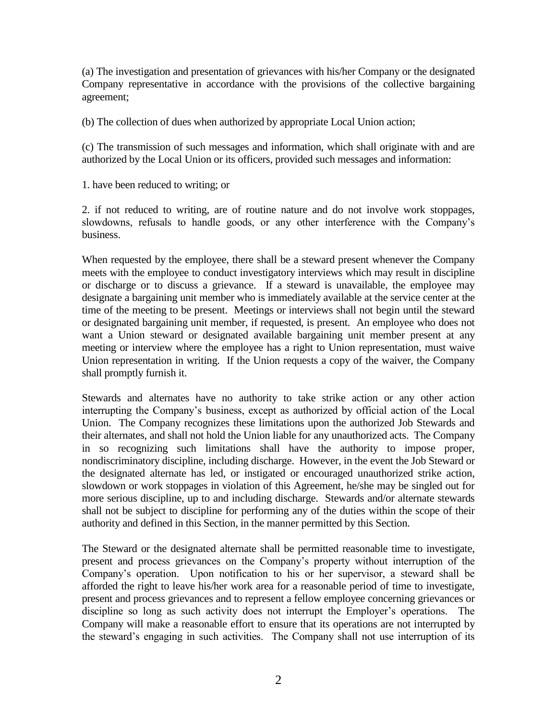(a) The investigation and presentation of grievances with his/her Company or the designated Company representative in accordance with the provisions of the collective bargaining agreement;

(b) The collection of dues when authorized by appropriate Local Union action;

(c) The transmission of such messages and information, which shall originate with and are authorized by the Local Union or its officers, provided such messages and information:

1. have been reduced to writing; or

2. if not reduced to writing, are of routine nature and do not involve work stoppages, slowdowns, refusals to handle goods, or any other interference with the Company's business.

When requested by the employee, there shall be a steward present whenever the Company meets with the employee to conduct investigatory interviews which may result in discipline or discharge or to discuss a grievance. If a steward is unavailable, the employee may designate a bargaining unit member who is immediately available at the service center at the time of the meeting to be present. Meetings or interviews shall not begin until the steward or designated bargaining unit member, if requested, is present. An employee who does not want a Union steward or designated available bargaining unit member present at any meeting or interview where the employee has a right to Union representation, must waive Union representation in writing. If the Union requests a copy of the waiver, the Company shall promptly furnish it.

Stewards and alternates have no authority to take strike action or any other action interrupting the Company's business, except as authorized by official action of the Local Union. The Company recognizes these limitations upon the authorized Job Stewards and their alternates, and shall not hold the Union liable for any unauthorized acts. The Company in so recognizing such limitations shall have the authority to impose proper, nondiscriminatory discipline, including discharge. However, in the event the Job Steward or the designated alternate has led, or instigated or encouraged unauthorized strike action, slowdown or work stoppages in violation of this Agreement, he/she may be singled out for more serious discipline, up to and including discharge. Stewards and/or alternate stewards shall not be subject to discipline for performing any of the duties within the scope of their authority and defined in this Section, in the manner permitted by this Section.

The Steward or the designated alternate shall be permitted reasonable time to investigate, present and process grievances on the Company's property without interruption of the Company's operation. Upon notification to his or her supervisor, a steward shall be afforded the right to leave his/her work area for a reasonable period of time to investigate, present and process grievances and to represent a fellow employee concerning grievances or discipline so long as such activity does not interrupt the Employer's operations. The Company will make a reasonable effort to ensure that its operations are not interrupted by the steward's engaging in such activities. The Company shall not use interruption of its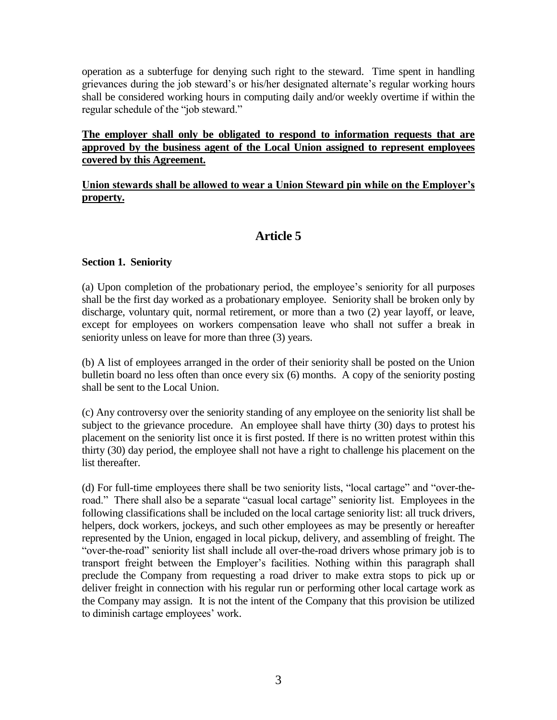operation as a subterfuge for denying such right to the steward. Time spent in handling grievances during the job steward's or his/her designated alternate's regular working hours shall be considered working hours in computing daily and/or weekly overtime if within the regular schedule of the "job steward."

### **The employer shall only be obligated to respond to information requests that are approved by the business agent of the Local Union assigned to represent employees covered by this Agreement.**

**Union stewards shall be allowed to wear a Union Steward pin while on the Employer's property.**

# **Article 5**

### **Section 1. Seniority**

(a) Upon completion of the probationary period, the employee's seniority for all purposes shall be the first day worked as a probationary employee. Seniority shall be broken only by discharge, voluntary quit, normal retirement, or more than a two (2) year layoff, or leave, except for employees on workers compensation leave who shall not suffer a break in seniority unless on leave for more than three (3) years.

(b) A list of employees arranged in the order of their seniority shall be posted on the Union bulletin board no less often than once every six (6) months. A copy of the seniority posting shall be sent to the Local Union.

(c) Any controversy over the seniority standing of any employee on the seniority list shall be subject to the grievance procedure. An employee shall have thirty (30) days to protest his placement on the seniority list once it is first posted. If there is no written protest within this thirty (30) day period, the employee shall not have a right to challenge his placement on the list thereafter.

(d) For full-time employees there shall be two seniority lists, "local cartage" and "over-theroad." There shall also be a separate "casual local cartage" seniority list. Employees in the following classifications shall be included on the local cartage seniority list: all truck drivers, helpers, dock workers, jockeys, and such other employees as may be presently or hereafter represented by the Union, engaged in local pickup, delivery, and assembling of freight. The "over-the-road" seniority list shall include all over-the-road drivers whose primary job is to transport freight between the Employer's facilities. Nothing within this paragraph shall preclude the Company from requesting a road driver to make extra stops to pick up or deliver freight in connection with his regular run or performing other local cartage work as the Company may assign. It is not the intent of the Company that this provision be utilized to diminish cartage employees' work.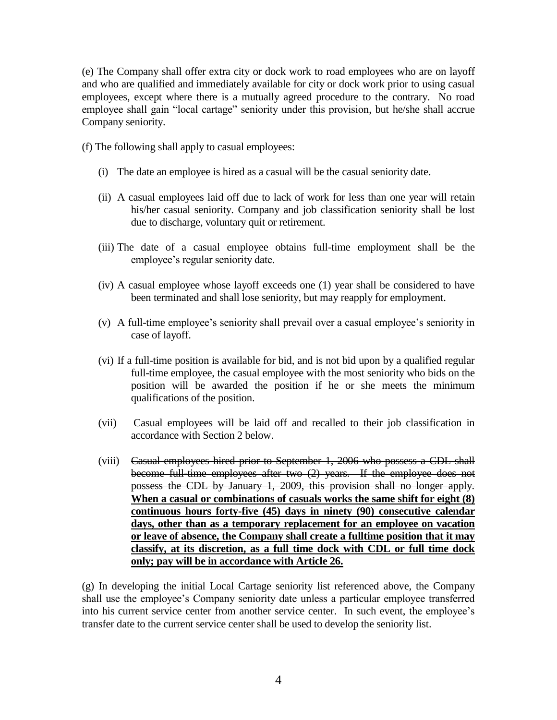(e) The Company shall offer extra city or dock work to road employees who are on layoff and who are qualified and immediately available for city or dock work prior to using casual employees, except where there is a mutually agreed procedure to the contrary. No road employee shall gain "local cartage" seniority under this provision, but he/she shall accrue Company seniority.

- (f) The following shall apply to casual employees:
	- (i) The date an employee is hired as a casual will be the casual seniority date.
	- (ii) A casual employees laid off due to lack of work for less than one year will retain his/her casual seniority. Company and job classification seniority shall be lost due to discharge, voluntary quit or retirement.
	- (iii) The date of a casual employee obtains full-time employment shall be the employee's regular seniority date.
	- (iv) A casual employee whose layoff exceeds one (1) year shall be considered to have been terminated and shall lose seniority, but may reapply for employment.
	- (v) A full-time employee's seniority shall prevail over a casual employee's seniority in case of layoff.
	- (vi) If a full-time position is available for bid, and is not bid upon by a qualified regular full-time employee, the casual employee with the most seniority who bids on the position will be awarded the position if he or she meets the minimum qualifications of the position.
	- (vii) Casual employees will be laid off and recalled to their job classification in accordance with Section 2 below.
	- (viii) Casual employees hired prior to September 1, 2006 who possess a CDL shall become full-time employees after two (2) years. If the employee does not possess the CDL by January 1, 2009, this provision shall no longer apply. **When a casual or combinations of casuals works the same shift for eight (8) continuous hours forty-five (45) days in ninety (90) consecutive calendar days, other than as a temporary replacement for an employee on vacation or leave of absence, the Company shall create a fulltime position that it may classify, at its discretion, as a full time dock with CDL or full time dock only; pay will be in accordance with Article 26.**

(g) In developing the initial Local Cartage seniority list referenced above, the Company shall use the employee's Company seniority date unless a particular employee transferred into his current service center from another service center. In such event, the employee's transfer date to the current service center shall be used to develop the seniority list.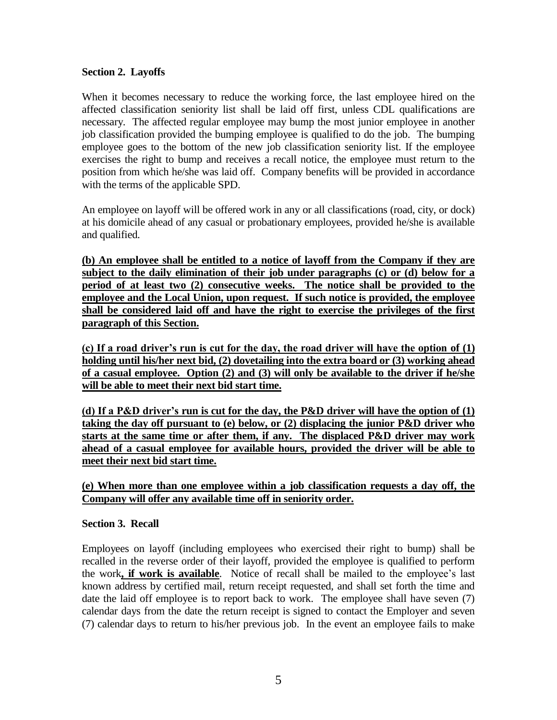### **Section 2. Layoffs**

When it becomes necessary to reduce the working force, the last employee hired on the affected classification seniority list shall be laid off first, unless CDL qualifications are necessary. The affected regular employee may bump the most junior employee in another job classification provided the bumping employee is qualified to do the job. The bumping employee goes to the bottom of the new job classification seniority list. If the employee exercises the right to bump and receives a recall notice, the employee must return to the position from which he/she was laid off. Company benefits will be provided in accordance with the terms of the applicable SPD.

An employee on layoff will be offered work in any or all classifications (road, city, or dock) at his domicile ahead of any casual or probationary employees, provided he/she is available and qualified.

**(b) An employee shall be entitled to a notice of layoff from the Company if they are subject to the daily elimination of their job under paragraphs (c) or (d) below for a period of at least two (2) consecutive weeks. The notice shall be provided to the employee and the Local Union, upon request. If such notice is provided, the employee shall be considered laid off and have the right to exercise the privileges of the first paragraph of this Section.**

**(c) If a road driver's run is cut for the day, the road driver will have the option of (1) holding until his/her next bid, (2) dovetailing into the extra board or (3) working ahead of a casual employee. Option (2) and (3) will only be available to the driver if he/she will be able to meet their next bid start time.**

**(d) If a P&D driver's run is cut for the day, the P&D driver will have the option of (1) taking the day off pursuant to (e) below, or (2) displacing the junior P&D driver who starts at the same time or after them, if any. The displaced P&D driver may work ahead of a casual employee for available hours, provided the driver will be able to meet their next bid start time.**

### **(e) When more than one employee within a job classification requests a day off, the Company will offer any available time off in seniority order.**

### **Section 3. Recall**

Employees on layoff (including employees who exercised their right to bump) shall be recalled in the reverse order of their layoff, provided the employee is qualified to perform the work**, if work is available**. Notice of recall shall be mailed to the employee's last known address by certified mail, return receipt requested, and shall set forth the time and date the laid off employee is to report back to work. The employee shall have seven (7) calendar days from the date the return receipt is signed to contact the Employer and seven (7) calendar days to return to his/her previous job. In the event an employee fails to make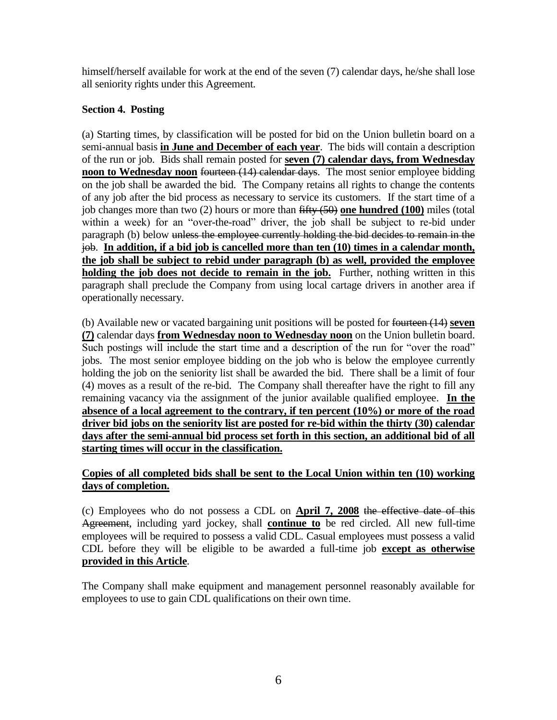himself/herself available for work at the end of the seven (7) calendar days, he/she shall lose all seniority rights under this Agreement.

### **Section 4. Posting**

(a) Starting times, by classification will be posted for bid on the Union bulletin board on a semi-annual basis **in June and December of each year**. The bids will contain a description of the run or job. Bids shall remain posted for **seven (7) calendar days, from Wednesday noon to Wednesday noon** fourteen (14) calendar days. The most senior employee bidding on the job shall be awarded the bid. The Company retains all rights to change the contents of any job after the bid process as necessary to service its customers. If the start time of a job changes more than two (2) hours or more than fifty (50) **one hundred (100)** miles (total within a week) for an "over-the-road" driver, the job shall be subject to re-bid under paragraph (b) below unless the employee currently holding the bid decides to remain in the job. **In addition, if a bid job is cancelled more than ten (10) times in a calendar month, the job shall be subject to rebid under paragraph (b) as well, provided the employee holding the job does not decide to remain in the job.** Further, nothing written in this paragraph shall preclude the Company from using local cartage drivers in another area if operationally necessary.

(b) Available new or vacated bargaining unit positions will be posted for fourteen (14) **seven (7)** calendar days **from Wednesday noon to Wednesday noon** on the Union bulletin board. Such postings will include the start time and a description of the run for "over the road" jobs. The most senior employee bidding on the job who is below the employee currently holding the job on the seniority list shall be awarded the bid. There shall be a limit of four (4) moves as a result of the re-bid. The Company shall thereafter have the right to fill any remaining vacancy via the assignment of the junior available qualified employee. **In the absence of a local agreement to the contrary, if ten percent (10%) or more of the road driver bid jobs on the seniority list are posted for re-bid within the thirty (30) calendar days after the semi-annual bid process set forth in this section, an additional bid of all starting times will occur in the classification.**

### **Copies of all completed bids shall be sent to the Local Union within ten (10) working days of completion.**

(c) Employees who do not possess a CDL on **April 7, 2008** the effective date of this Agreement, including yard jockey, shall **continue to** be red circled. All new full-time employees will be required to possess a valid CDL. Casual employees must possess a valid CDL before they will be eligible to be awarded a full-time job **except as otherwise provided in this Article**.

The Company shall make equipment and management personnel reasonably available for employees to use to gain CDL qualifications on their own time.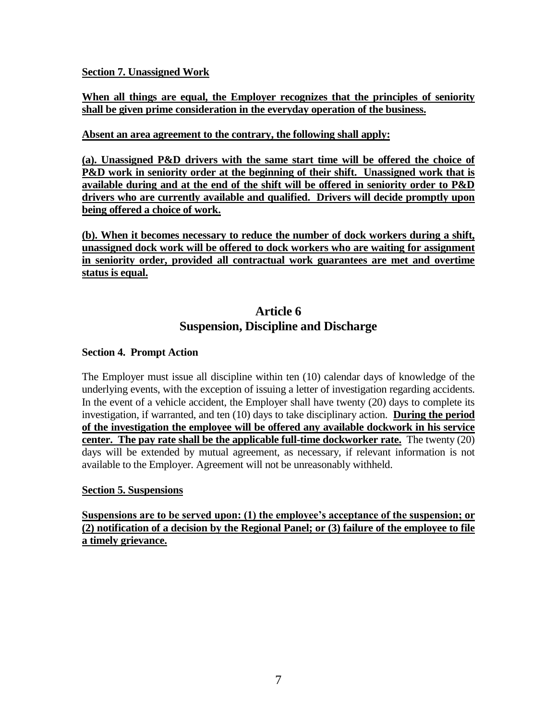### **Section 7. Unassigned Work**

### **When all things are equal, the Employer recognizes that the principles of seniority shall be given prime consideration in the everyday operation of the business.**

### **Absent an area agreement to the contrary, the following shall apply:**

**(a). Unassigned P&D drivers with the same start time will be offered the choice of P&D work in seniority order at the beginning of their shift. Unassigned work that is available during and at the end of the shift will be offered in seniority order to P&D drivers who are currently available and qualified. Drivers will decide promptly upon being offered a choice of work.**

**(b). When it becomes necessary to reduce the number of dock workers during a shift, unassigned dock work will be offered to dock workers who are waiting for assignment in seniority order, provided all contractual work guarantees are met and overtime status is equal.**

## **Article 6 Suspension, Discipline and Discharge**

### **Section 4. Prompt Action**

The Employer must issue all discipline within ten (10) calendar days of knowledge of the underlying events, with the exception of issuing a letter of investigation regarding accidents. In the event of a vehicle accident, the Employer shall have twenty (20) days to complete its investigation, if warranted, and ten (10) days to take disciplinary action. **During the period of the investigation the employee will be offered any available dockwork in his service center. The pay rate shall be the applicable full-time dockworker rate.** The twenty (20) days will be extended by mutual agreement, as necessary, if relevant information is not available to the Employer. Agreement will not be unreasonably withheld.

#### **Section 5. Suspensions**

**Suspensions are to be served upon: (1) the employee's acceptance of the suspension; or (2) notification of a decision by the Regional Panel; or (3) failure of the employee to file a timely grievance.**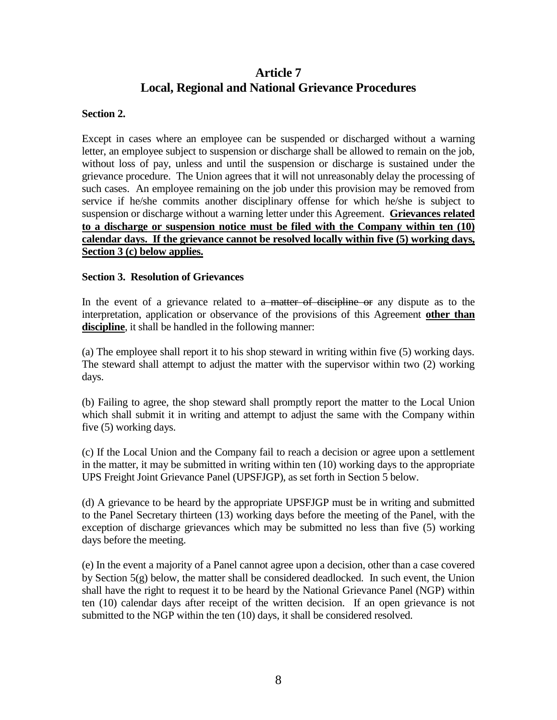# **Article 7 Local, Regional and National Grievance Procedures**

#### **Section 2.**

Except in cases where an employee can be suspended or discharged without a warning letter, an employee subject to suspension or discharge shall be allowed to remain on the job, without loss of pay, unless and until the suspension or discharge is sustained under the grievance procedure. The Union agrees that it will not unreasonably delay the processing of such cases. An employee remaining on the job under this provision may be removed from service if he/she commits another disciplinary offense for which he/she is subject to suspension or discharge without a warning letter under this Agreement. **Grievances related to a discharge or suspension notice must be filed with the Company within ten (10) calendar days. If the grievance cannot be resolved locally within five (5) working days, Section 3 (c) below applies.**

#### **Section 3. Resolution of Grievances**

In the event of a grievance related to a matter of discipline or any dispute as to the interpretation, application or observance of the provisions of this Agreement **other than discipline**, it shall be handled in the following manner:

(a) The employee shall report it to his shop steward in writing within five (5) working days. The steward shall attempt to adjust the matter with the supervisor within two (2) working days.

(b) Failing to agree, the shop steward shall promptly report the matter to the Local Union which shall submit it in writing and attempt to adjust the same with the Company within five (5) working days.

(c) If the Local Union and the Company fail to reach a decision or agree upon a settlement in the matter, it may be submitted in writing within ten (10) working days to the appropriate UPS Freight Joint Grievance Panel (UPSFJGP), as set forth in Section 5 below.

(d) A grievance to be heard by the appropriate UPSFJGP must be in writing and submitted to the Panel Secretary thirteen (13) working days before the meeting of the Panel, with the exception of discharge grievances which may be submitted no less than five (5) working days before the meeting.

(e) In the event a majority of a Panel cannot agree upon a decision, other than a case covered by Section 5(g) below, the matter shall be considered deadlocked. In such event, the Union shall have the right to request it to be heard by the National Grievance Panel (NGP) within ten (10) calendar days after receipt of the written decision. If an open grievance is not submitted to the NGP within the ten (10) days, it shall be considered resolved.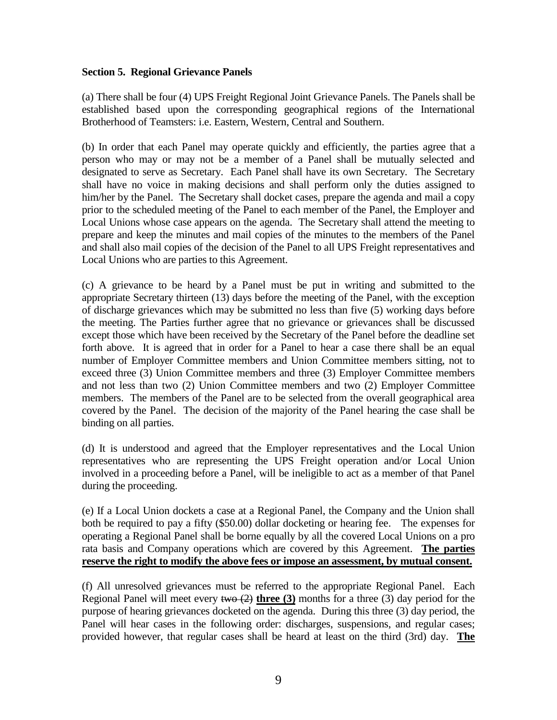#### **Section 5. Regional Grievance Panels**

(a) There shall be four (4) UPS Freight Regional Joint Grievance Panels. The Panels shall be established based upon the corresponding geographical regions of the International Brotherhood of Teamsters: i.e. Eastern, Western, Central and Southern.

(b) In order that each Panel may operate quickly and efficiently, the parties agree that a person who may or may not be a member of a Panel shall be mutually selected and designated to serve as Secretary. Each Panel shall have its own Secretary. The Secretary shall have no voice in making decisions and shall perform only the duties assigned to him/her by the Panel. The Secretary shall docket cases, prepare the agenda and mail a copy prior to the scheduled meeting of the Panel to each member of the Panel, the Employer and Local Unions whose case appears on the agenda. The Secretary shall attend the meeting to prepare and keep the minutes and mail copies of the minutes to the members of the Panel and shall also mail copies of the decision of the Panel to all UPS Freight representatives and Local Unions who are parties to this Agreement.

(c) A grievance to be heard by a Panel must be put in writing and submitted to the appropriate Secretary thirteen (13) days before the meeting of the Panel, with the exception of discharge grievances which may be submitted no less than five (5) working days before the meeting. The Parties further agree that no grievance or grievances shall be discussed except those which have been received by the Secretary of the Panel before the deadline set forth above. It is agreed that in order for a Panel to hear a case there shall be an equal number of Employer Committee members and Union Committee members sitting, not to exceed three (3) Union Committee members and three (3) Employer Committee members and not less than two (2) Union Committee members and two (2) Employer Committee members. The members of the Panel are to be selected from the overall geographical area covered by the Panel. The decision of the majority of the Panel hearing the case shall be binding on all parties.

(d) It is understood and agreed that the Employer representatives and the Local Union representatives who are representing the UPS Freight operation and/or Local Union involved in a proceeding before a Panel, will be ineligible to act as a member of that Panel during the proceeding.

(e) If a Local Union dockets a case at a Regional Panel, the Company and the Union shall both be required to pay a fifty (\$50.00) dollar docketing or hearing fee. The expenses for operating a Regional Panel shall be borne equally by all the covered Local Unions on a pro rata basis and Company operations which are covered by this Agreement. **The parties reserve the right to modify the above fees or impose an assessment, by mutual consent.**

(f) All unresolved grievances must be referred to the appropriate Regional Panel. Each Regional Panel will meet every two (2) **three (3)** months for a three (3) day period for the purpose of hearing grievances docketed on the agenda. During this three (3) day period, the Panel will hear cases in the following order: discharges, suspensions, and regular cases; provided however, that regular cases shall be heard at least on the third (3rd) day. **The**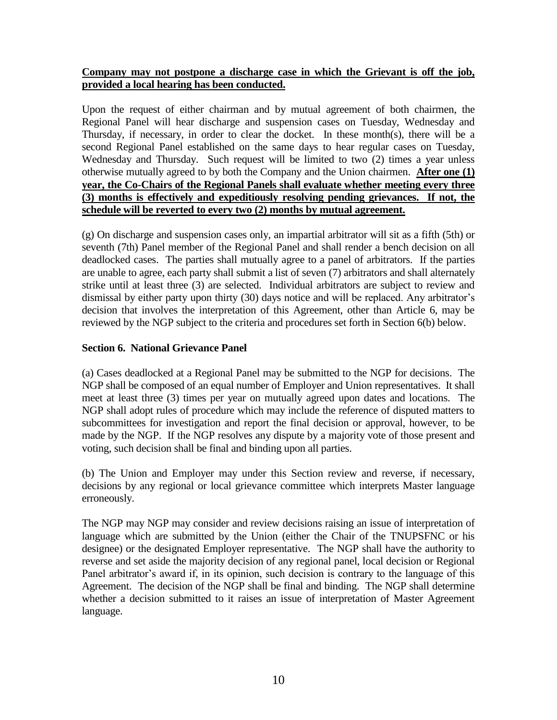### **Company may not postpone a discharge case in which the Grievant is off the job, provided a local hearing has been conducted.**

Upon the request of either chairman and by mutual agreement of both chairmen, the Regional Panel will hear discharge and suspension cases on Tuesday, Wednesday and Thursday, if necessary, in order to clear the docket. In these month(s), there will be a second Regional Panel established on the same days to hear regular cases on Tuesday, Wednesday and Thursday. Such request will be limited to two (2) times a year unless otherwise mutually agreed to by both the Company and the Union chairmen. **After one (1) year, the Co-Chairs of the Regional Panels shall evaluate whether meeting every three (3) months is effectively and expeditiously resolving pending grievances. If not, the schedule will be reverted to every two (2) months by mutual agreement.**

(g) On discharge and suspension cases only, an impartial arbitrator will sit as a fifth (5th) or seventh (7th) Panel member of the Regional Panel and shall render a bench decision on all deadlocked cases. The parties shall mutually agree to a panel of arbitrators. If the parties are unable to agree, each party shall submit a list of seven (7) arbitrators and shall alternately strike until at least three (3) are selected. Individual arbitrators are subject to review and dismissal by either party upon thirty (30) days notice and will be replaced. Any arbitrator's decision that involves the interpretation of this Agreement, other than Article 6, may be reviewed by the NGP subject to the criteria and procedures set forth in Section 6(b) below.

### **Section 6. National Grievance Panel**

(a) Cases deadlocked at a Regional Panel may be submitted to the NGP for decisions. The NGP shall be composed of an equal number of Employer and Union representatives. It shall meet at least three (3) times per year on mutually agreed upon dates and locations. The NGP shall adopt rules of procedure which may include the reference of disputed matters to subcommittees for investigation and report the final decision or approval, however, to be made by the NGP. If the NGP resolves any dispute by a majority vote of those present and voting, such decision shall be final and binding upon all parties.

(b) The Union and Employer may under this Section review and reverse, if necessary, decisions by any regional or local grievance committee which interprets Master language erroneously.

The NGP may NGP may consider and review decisions raising an issue of interpretation of language which are submitted by the Union (either the Chair of the TNUPSFNC or his designee) or the designated Employer representative. The NGP shall have the authority to reverse and set aside the majority decision of any regional panel, local decision or Regional Panel arbitrator's award if, in its opinion, such decision is contrary to the language of this Agreement. The decision of the NGP shall be final and binding. The NGP shall determine whether a decision submitted to it raises an issue of interpretation of Master Agreement language.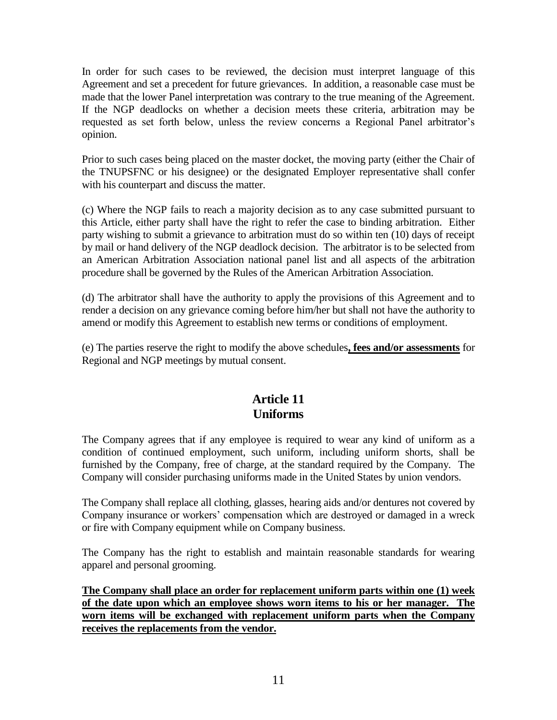In order for such cases to be reviewed, the decision must interpret language of this Agreement and set a precedent for future grievances. In addition, a reasonable case must be made that the lower Panel interpretation was contrary to the true meaning of the Agreement. If the NGP deadlocks on whether a decision meets these criteria, arbitration may be requested as set forth below, unless the review concerns a Regional Panel arbitrator's opinion.

Prior to such cases being placed on the master docket, the moving party (either the Chair of the TNUPSFNC or his designee) or the designated Employer representative shall confer with his counterpart and discuss the matter.

(c) Where the NGP fails to reach a majority decision as to any case submitted pursuant to this Article, either party shall have the right to refer the case to binding arbitration. Either party wishing to submit a grievance to arbitration must do so within ten (10) days of receipt by mail or hand delivery of the NGP deadlock decision. The arbitrator is to be selected from an American Arbitration Association national panel list and all aspects of the arbitration procedure shall be governed by the Rules of the American Arbitration Association.

(d) The arbitrator shall have the authority to apply the provisions of this Agreement and to render a decision on any grievance coming before him/her but shall not have the authority to amend or modify this Agreement to establish new terms or conditions of employment.

(e) The parties reserve the right to modify the above schedules**, fees and/or assessments** for Regional and NGP meetings by mutual consent.

## **Article 11 Uniforms**

The Company agrees that if any employee is required to wear any kind of uniform as a condition of continued employment, such uniform, including uniform shorts, shall be furnished by the Company, free of charge, at the standard required by the Company. The Company will consider purchasing uniforms made in the United States by union vendors.

The Company shall replace all clothing, glasses, hearing aids and/or dentures not covered by Company insurance or workers' compensation which are destroyed or damaged in a wreck or fire with Company equipment while on Company business.

The Company has the right to establish and maintain reasonable standards for wearing apparel and personal grooming.

**The Company shall place an order for replacement uniform parts within one (1) week of the date upon which an employee shows worn items to his or her manager. The worn items will be exchanged with replacement uniform parts when the Company receives the replacements from the vendor.**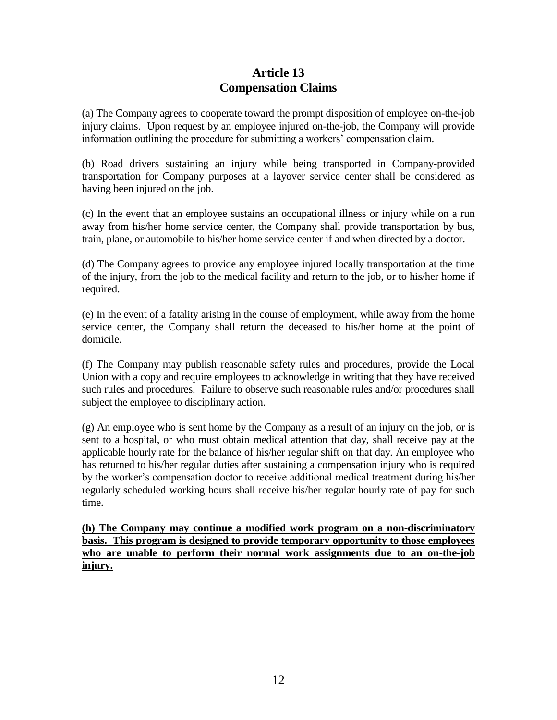## **Article 13 Compensation Claims**

(a) The Company agrees to cooperate toward the prompt disposition of employee on-the-job injury claims. Upon request by an employee injured on-the-job, the Company will provide information outlining the procedure for submitting a workers' compensation claim.

(b) Road drivers sustaining an injury while being transported in Company-provided transportation for Company purposes at a layover service center shall be considered as having been injured on the job.

(c) In the event that an employee sustains an occupational illness or injury while on a run away from his/her home service center, the Company shall provide transportation by bus, train, plane, or automobile to his/her home service center if and when directed by a doctor.

(d) The Company agrees to provide any employee injured locally transportation at the time of the injury, from the job to the medical facility and return to the job, or to his/her home if required.

(e) In the event of a fatality arising in the course of employment, while away from the home service center, the Company shall return the deceased to his/her home at the point of domicile.

(f) The Company may publish reasonable safety rules and procedures, provide the Local Union with a copy and require employees to acknowledge in writing that they have received such rules and procedures. Failure to observe such reasonable rules and/or procedures shall subject the employee to disciplinary action.

(g) An employee who is sent home by the Company as a result of an injury on the job, or is sent to a hospital, or who must obtain medical attention that day, shall receive pay at the applicable hourly rate for the balance of his/her regular shift on that day. An employee who has returned to his/her regular duties after sustaining a compensation injury who is required by the worker's compensation doctor to receive additional medical treatment during his/her regularly scheduled working hours shall receive his/her regular hourly rate of pay for such time.

**(h) The Company may continue a modified work program on a non-discriminatory basis. This program is designed to provide temporary opportunity to those employees who are unable to perform their normal work assignments due to an on-the-job injury.**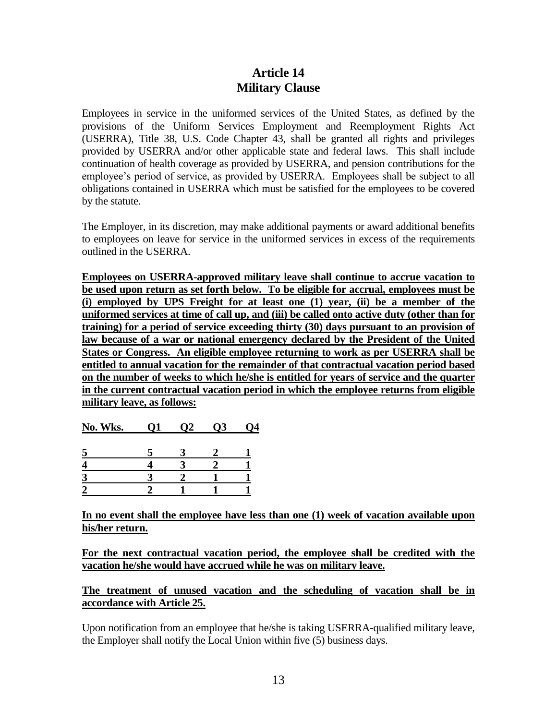## **Article 14 Military Clause**

Employees in service in the uniformed services of the United States, as defined by the provisions of the Uniform Services Employment and Reemployment Rights Act (USERRA), Title 38, U.S. Code Chapter 43, shall be granted all rights and privileges provided by USERRA and/or other applicable state and federal laws. This shall include continuation of health coverage as provided by USERRA, and pension contributions for the employee's period of service, as provided by USERRA. Employees shall be subject to all obligations contained in USERRA which must be satisfied for the employees to be covered by the statute.

The Employer, in its discretion, may make additional payments or award additional benefits to employees on leave for service in the uniformed services in excess of the requirements outlined in the USERRA.

**Employees on USERRA-approved military leave shall continue to accrue vacation to be used upon return as set forth below. To be eligible for accrual, employees must be (i) employed by UPS Freight for at least one (1) year, (ii) be a member of the uniformed services at time of call up, and (iii) be called onto active duty (other than for training) for a period of service exceeding thirty (30) days pursuant to an provision of law because of a war or national emergency declared by the President of the United States or Congress. An eligible employee returning to work as per USERRA shall be entitled to annual vacation for the remainder of that contractual vacation period based on the number of weeks to which he/she is entitled for years of service and the quarter in the current contractual vacation period in which the employee returns from eligible military leave, as follows:**

|  | No. Wks. |  | O2 | <b>O3</b> | 04 |
|--|----------|--|----|-----------|----|
|--|----------|--|----|-----------|----|

**In no event shall the employee have less than one (1) week of vacation available upon his/her return.**

**For the next contractual vacation period, the employee shall be credited with the vacation he/she would have accrued while he was on military leave.**

**The treatment of unused vacation and the scheduling of vacation shall be in accordance with Article 25.**

Upon notification from an employee that he/she is taking USERRA-qualified military leave, the Employer shall notify the Local Union within five (5) business days.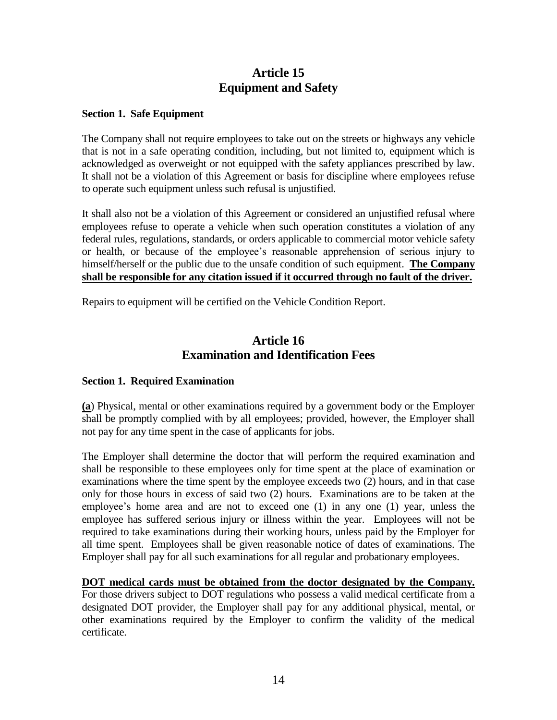## **Article 15 Equipment and Safety**

#### **Section 1. Safe Equipment**

The Company shall not require employees to take out on the streets or highways any vehicle that is not in a safe operating condition, including, but not limited to, equipment which is acknowledged as overweight or not equipped with the safety appliances prescribed by law. It shall not be a violation of this Agreement or basis for discipline where employees refuse to operate such equipment unless such refusal is unjustified.

It shall also not be a violation of this Agreement or considered an unjustified refusal where employees refuse to operate a vehicle when such operation constitutes a violation of any federal rules, regulations, standards, or orders applicable to commercial motor vehicle safety or health, or because of the employee's reasonable apprehension of serious injury to himself/herself or the public due to the unsafe condition of such equipment. **The Company shall be responsible for any citation issued if it occurred through no fault of the driver.**

Repairs to equipment will be certified on the Vehicle Condition Report.

## **Article 16 Examination and Identification Fees**

#### **Section 1. Required Examination**

**(a**) Physical, mental or other examinations required by a government body or the Employer shall be promptly complied with by all employees; provided, however, the Employer shall not pay for any time spent in the case of applicants for jobs.

The Employer shall determine the doctor that will perform the required examination and shall be responsible to these employees only for time spent at the place of examination or examinations where the time spent by the employee exceeds two (2) hours, and in that case only for those hours in excess of said two (2) hours. Examinations are to be taken at the employee's home area and are not to exceed one (1) in any one (1) year, unless the employee has suffered serious injury or illness within the year. Employees will not be required to take examinations during their working hours, unless paid by the Employer for all time spent. Employees shall be given reasonable notice of dates of examinations. The Employer shall pay for all such examinations for all regular and probationary employees.

#### **DOT medical cards must be obtained from the doctor designated by the Company.**

For those drivers subject to DOT regulations who possess a valid medical certificate from a designated DOT provider, the Employer shall pay for any additional physical, mental, or other examinations required by the Employer to confirm the validity of the medical certificate.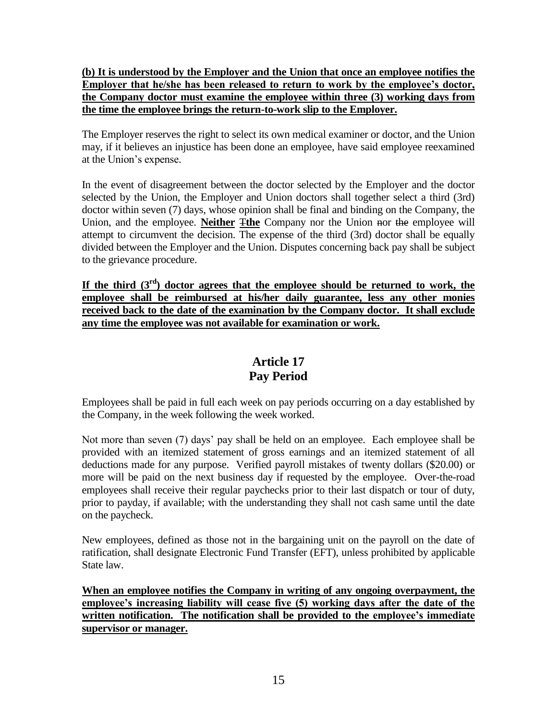### **(b) It is understood by the Employer and the Union that once an employee notifies the Employer that he/she has been released to return to work by the employee's doctor, the Company doctor must examine the employee within three (3) working days from the time the employee brings the return-to-work slip to the Employer.**

The Employer reserves the right to select its own medical examiner or doctor, and the Union may, if it believes an injustice has been done an employee, have said employee reexamined at the Union's expense.

In the event of disagreement between the doctor selected by the Employer and the doctor selected by the Union, the Employer and Union doctors shall together select a third (3rd) doctor within seven (7) days, whose opinion shall be final and binding on the Company, the Union, and the employee. **Neither** T**the** Company nor the Union nor the employee will attempt to circumvent the decision. The expense of the third (3rd) doctor shall be equally divided between the Employer and the Union. Disputes concerning back pay shall be subject to the grievance procedure.

If the third  $(3<sup>rd</sup>)$  doctor agrees that the employee should be returned to work, the **employee shall be reimbursed at his/her daily guarantee, less any other monies received back to the date of the examination by the Company doctor. It shall exclude any time the employee was not available for examination or work.**

# **Article 17 Pay Period**

Employees shall be paid in full each week on pay periods occurring on a day established by the Company, in the week following the week worked.

Not more than seven (7) days' pay shall be held on an employee. Each employee shall be provided with an itemized statement of gross earnings and an itemized statement of all deductions made for any purpose. Verified payroll mistakes of twenty dollars (\$20.00) or more will be paid on the next business day if requested by the employee. Over-the-road employees shall receive their regular paychecks prior to their last dispatch or tour of duty, prior to payday, if available; with the understanding they shall not cash same until the date on the paycheck.

New employees, defined as those not in the bargaining unit on the payroll on the date of ratification, shall designate Electronic Fund Transfer (EFT), unless prohibited by applicable State law.

**When an employee notifies the Company in writing of any ongoing overpayment, the employee's increasing liability will cease five (5) working days after the date of the written notification. The notification shall be provided to the employee's immediate supervisor or manager.**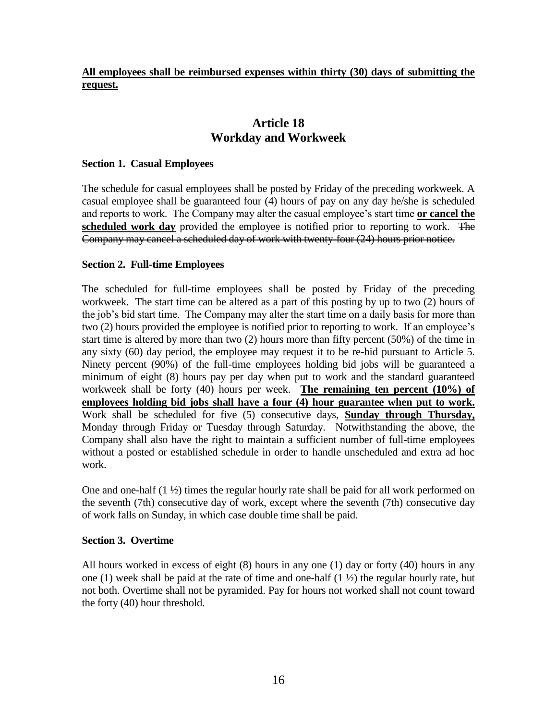### **All employees shall be reimbursed expenses within thirty (30) days of submitting the request.**

## **Article 18 Workday and Workweek**

### **Section 1. Casual Employees**

The schedule for casual employees shall be posted by Friday of the preceding workweek. A casual employee shall be guaranteed four (4) hours of pay on any day he/she is scheduled and reports to work. The Company may alter the casual employee's start time **or cancel the scheduled work day** provided the employee is notified prior to reporting to work. The Company may cancel a scheduled day of work with twenty-four (24) hours prior notice.

### **Section 2. Full-time Employees**

The scheduled for full-time employees shall be posted by Friday of the preceding workweek. The start time can be altered as a part of this posting by up to two (2) hours of the job's bid start time. The Company may alter the start time on a daily basis for more than two (2) hours provided the employee is notified prior to reporting to work. If an employee's start time is altered by more than two (2) hours more than fifty percent (50%) of the time in any sixty (60) day period, the employee may request it to be re-bid pursuant to Article 5. Ninety percent (90%) of the full-time employees holding bid jobs will be guaranteed a minimum of eight (8) hours pay per day when put to work and the standard guaranteed workweek shall be forty (40) hours per week. **The remaining ten percent (10%) of employees holding bid jobs shall have a four (4) hour guarantee when put to work.**  Work shall be scheduled for five (5) consecutive days, **Sunday through Thursday,**  Monday through Friday or Tuesday through Saturday. Notwithstanding the above, the Company shall also have the right to maintain a sufficient number of full-time employees without a posted or established schedule in order to handle unscheduled and extra ad hoc work.

One and one-half (1 ½) times the regular hourly rate shall be paid for all work performed on the seventh (7th) consecutive day of work, except where the seventh (7th) consecutive day of work falls on Sunday, in which case double time shall be paid.

#### **Section 3. Overtime**

All hours worked in excess of eight (8) hours in any one (1) day or forty (40) hours in any one (1) week shall be paid at the rate of time and one-half (1 ½) the regular hourly rate, but not both. Overtime shall not be pyramided. Pay for hours not worked shall not count toward the forty (40) hour threshold.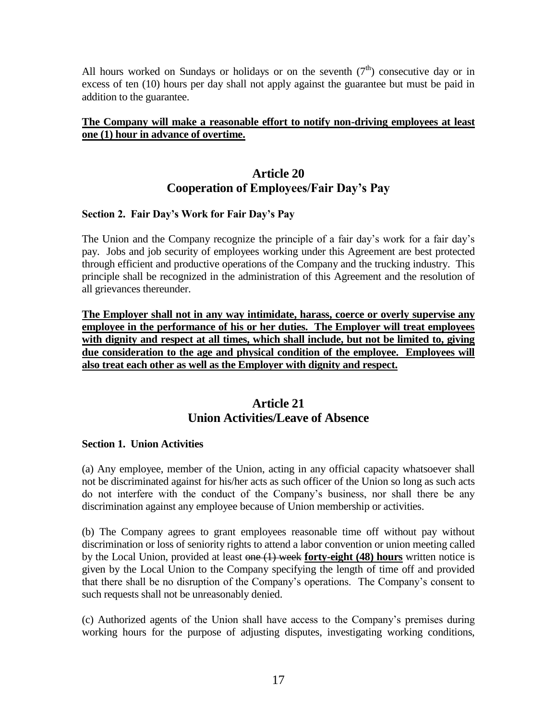All hours worked on Sundays or holidays or on the seventh  $(7<sup>th</sup>)$  consecutive day or in excess of ten (10) hours per day shall not apply against the guarantee but must be paid in addition to the guarantee.

### **The Company will make a reasonable effort to notify non-driving employees at least one (1) hour in advance of overtime.**

## **Article 20 Cooperation of Employees/Fair Day's Pay**

### **Section 2. Fair Day's Work for Fair Day's Pay**

The Union and the Company recognize the principle of a fair day's work for a fair day's pay. Jobs and job security of employees working under this Agreement are best protected through efficient and productive operations of the Company and the trucking industry. This principle shall be recognized in the administration of this Agreement and the resolution of all grievances thereunder.

**The Employer shall not in any way intimidate, harass, coerce or overly supervise any employee in the performance of his or her duties. The Employer will treat employees with dignity and respect at all times, which shall include, but not be limited to, giving due consideration to the age and physical condition of the employee. Employees will also treat each other as well as the Employer with dignity and respect.**

## **Article 21 Union Activities/Leave of Absence**

### **Section 1. Union Activities**

(a) Any employee, member of the Union, acting in any official capacity whatsoever shall not be discriminated against for his/her acts as such officer of the Union so long as such acts do not interfere with the conduct of the Company's business, nor shall there be any discrimination against any employee because of Union membership or activities.

(b) The Company agrees to grant employees reasonable time off without pay without discrimination or loss of seniority rights to attend a labor convention or union meeting called by the Local Union, provided at least one (1) week **forty-eight (48) hours** written notice is given by the Local Union to the Company specifying the length of time off and provided that there shall be no disruption of the Company's operations. The Company's consent to such requests shall not be unreasonably denied.

(c) Authorized agents of the Union shall have access to the Company's premises during working hours for the purpose of adjusting disputes, investigating working conditions,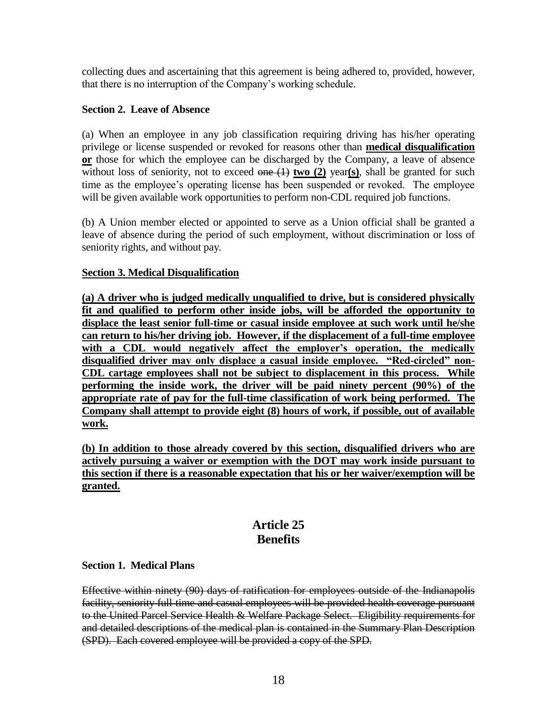collecting dues and ascertaining that this agreement is being adhered to, provided, however, that there is no interruption of the Company's working schedule.

### **Section 2. Leave of Absence**

(a) When an employee in any job classification requiring driving has his/her operating privilege or license suspended or revoked for reasons other than **medical disqualification or** those for which the employee can be discharged by the Company, a leave of absence without loss of seniority, not to exceed one (1) **two** (2) year(s), shall be granted for such time as the employee's operating license has been suspended or revoked. The employee will be given available work opportunities to perform non-CDL required job functions.

(b) A Union member elected or appointed to serve as a Union official shall be granted a leave of absence during the period of such employment, without discrimination or loss of seniority rights, and without pay.

### **Section 3. Medical Disqualification**

**(a) A driver who is judged medically unqualified to drive, but is considered physically fit and qualified to perform other inside jobs, will be afforded the opportunity to displace the least senior full-time or casual inside employee at such work until he/she can return to his/her driving job. However, if the displacement of a full-time employee with a CDL would negatively affect the employer's operation, the medically disqualified driver may only displace a casual inside employee. "Red-circled" non-CDL cartage employees shall not be subject to displacement in this process. While performing the inside work, the driver will be paid ninety percent (90%) of the appropriate rate of pay for the full-time classification of work being performed. The Company shall attempt to provide eight (8) hours of work, if possible, out of available work.**

**(b) In addition to those already covered by this section, disqualified drivers who are actively pursuing a waiver or exemption with the DOT may work inside pursuant to this section if there is a reasonable expectation that his or her waiver/exemption will be granted.**

## **Article 25 Benefits**

#### **Section 1. Medical Plans**

Effective within ninety (90) days of ratification for employees outside of the Indianapolis facility, seniority full-time and casual employees will be provided health coverage pursuant to the United Parcel Service Health & Welfare Package Select. Eligibility requirements for and detailed descriptions of the medical plan is contained in the Summary Plan Description (SPD). Each covered employee will be provided a copy of the SPD.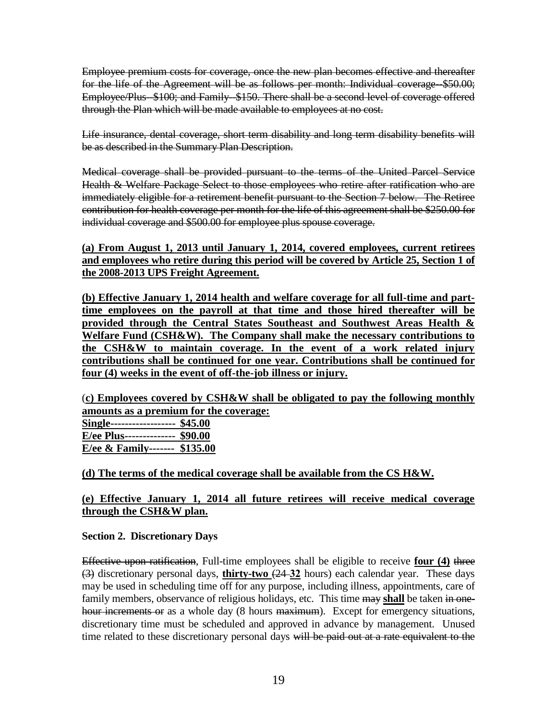Employee premium costs for coverage, once the new plan becomes effective and thereafter for the life of the Agreement will be as follows per month: Individual coverage--\$50.00; Employee/Plus-\$100; and Family \$150. There shall be a second level of coverage offered through the Plan which will be made available to employees at no cost.

Life insurance, dental coverage, short term disability and long term disability benefits will be as described in the Summary Plan Description.

Medical coverage shall be provided pursuant to the terms of the United Parcel Service Health & Welfare Package Select to those employees who retire after ratification who are immediately eligible for a retirement benefit pursuant to the Section 7 below. The Retiree contribution for health coverage per month for the life of this agreement shall be \$250.00 for individual coverage and \$500.00 for employee plus spouse coverage.

**(a) From August 1, 2013 until January 1, 2014, covered employees, current retirees and employees who retire during this period will be covered by Article 25, Section 1 of the 2008-2013 UPS Freight Agreement.**

**(b) Effective January 1, 2014 health and welfare coverage for all full-time and parttime employees on the payroll at that time and those hired thereafter will be provided through the Central States Southeast and Southwest Areas Health & Welfare Fund (CSH&W). The Company shall make the necessary contributions to the CSH&W to maintain coverage. In the event of a work related injury contributions shall be continued for one year. Contributions shall be continued for four (4) weeks in the event of off-the-job illness or injury.**

(**c) Employees covered by CSH&W shall be obligated to pay the following monthly amounts as a premium for the coverage: Single------------------ \$45.00 E/ee Plus-------------- \$90.00 E/ee & Family------- \$135.00**

**(d) The terms of the medical coverage shall be available from the CS H&W.** 

### **(e) Effective January 1, 2014 all future retirees will receive medical coverage through the CSH&W plan.**

### **Section 2. Discretionary Days**

Effective upon ratification, Full-time employees shall be eligible to receive **four (4)** three (3) discretionary personal days, **thirty-two** (24 **32** hours) each calendar year. These days may be used in scheduling time off for any purpose, including illness, appointments, care of family members, observance of religious holidays, etc. This time may shall be taken in onehour increments or as a whole day (8 hours maximum). Except for emergency situations, discretionary time must be scheduled and approved in advance by management. Unused time related to these discretionary personal days will be paid out at a rate equivalent to the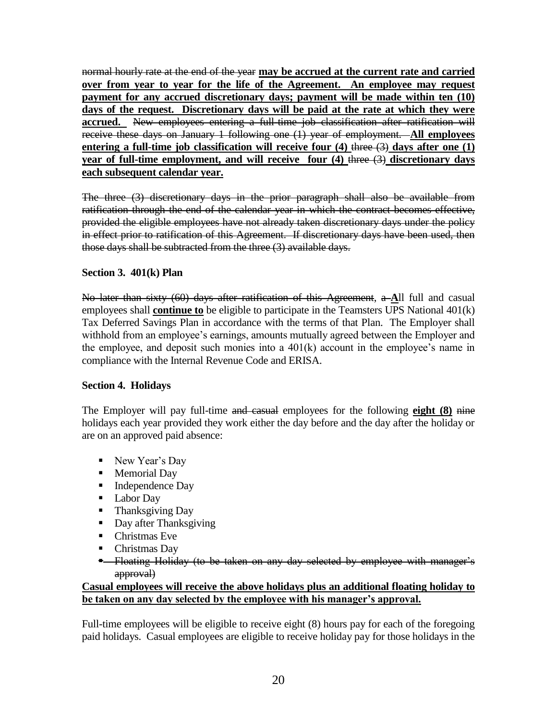normal hourly rate at the end of the year **may be accrued at the current rate and carried over from year to year for the life of the Agreement. An employee may request payment for any accrued discretionary days; payment will be made within ten (10) days of the request. Discretionary days will be paid at the rate at which they were accrued.** New employees entering a full-time job classification after ratification will receive these days on January 1 following one (1) year of employment. **All employees**  entering a full-time job classification will receive four (4) three (3) days after one (1) **year of full-time employment, and will receive four (4)** three (3) **discretionary days each subsequent calendar year.**

The three (3) discretionary days in the prior paragraph shall also be available from ratification through the end of the calendar year in which the contract becomes effective, provided the eligible employees have not already taken discretionary days under the policy in effect prior to ratification of this Agreement. If discretionary days have been used, then those days shall be subtracted from the three (3) available days.

### **Section 3. 401(k) Plan**

No later than sixty (60) days after ratification of this Agreement, a **A**ll full and casual employees shall **continue to** be eligible to participate in the Teamsters UPS National 401(k) Tax Deferred Savings Plan in accordance with the terms of that Plan. The Employer shall withhold from an employee's earnings, amounts mutually agreed between the Employer and the employee, and deposit such monies into a 401(k) account in the employee's name in compliance with the Internal Revenue Code and ERISA.

### **Section 4. Holidays**

The Employer will pay full-time and casual employees for the following **eight (8)** nine holidays each year provided they work either the day before and the day after the holiday or are on an approved paid absence:

- New Year's Day
- **Memorial Day**
- $\blacksquare$  Independence Day
- **Labor Day**
- Thanksgiving Day
- Day after Thanksgiving
- Christmas Eve
- Christmas Day
- **-** Floating Holiday (to be taken on any day selected by employee with manager's approval)

### **Casual employees will receive the above holidays plus an additional floating holiday to be taken on any day selected by the employee with his manager's approval.**

Full-time employees will be eligible to receive eight (8) hours pay for each of the foregoing paid holidays. Casual employees are eligible to receive holiday pay for those holidays in the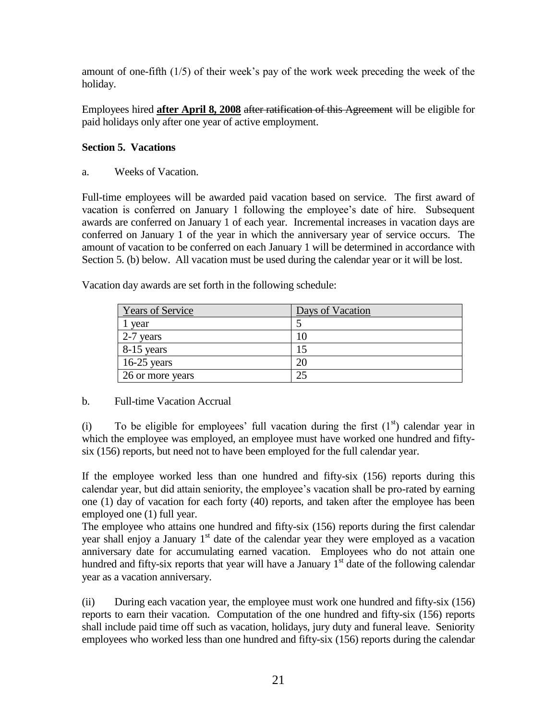amount of one-fifth (1/5) of their week's pay of the work week preceding the week of the holiday.

Employees hired **after April 8, 2008** after ratification of this Agreement will be eligible for paid holidays only after one year of active employment.

### **Section 5. Vacations**

a. Weeks of Vacation.

Full-time employees will be awarded paid vacation based on service. The first award of vacation is conferred on January 1 following the employee's date of hire. Subsequent awards are conferred on January 1 of each year. Incremental increases in vacation days are conferred on January 1 of the year in which the anniversary year of service occurs. The amount of vacation to be conferred on each January 1 will be determined in accordance with Section 5. (b) below. All vacation must be used during the calendar year or it will be lost.

| <b>Years of Service</b> | Days of Vacation |
|-------------------------|------------------|
| vear                    |                  |
| 2-7 years               |                  |
| 8-15 years              | 15               |
| $16-25$ years           | 20               |
| 26 or more years        | 25               |

Vacation day awards are set forth in the following schedule:

### b. Full-time Vacation Accrual

(i) To be eligible for employees' full vacation during the first  $(1<sup>st</sup>)$  calendar year in which the employee was employed, an employee must have worked one hundred and fiftysix (156) reports, but need not to have been employed for the full calendar year.

If the employee worked less than one hundred and fifty-six (156) reports during this calendar year, but did attain seniority, the employee's vacation shall be pro-rated by earning one (1) day of vacation for each forty (40) reports, and taken after the employee has been employed one (1) full year.

The employee who attains one hundred and fifty-six (156) reports during the first calendar year shall enjoy a January  $1<sup>st</sup>$  date of the calendar year they were employed as a vacation anniversary date for accumulating earned vacation. Employees who do not attain one hundred and fifty-six reports that year will have a January  $1<sup>st</sup>$  date of the following calendar year as a vacation anniversary.

(ii) During each vacation year, the employee must work one hundred and fifty-six (156) reports to earn their vacation. Computation of the one hundred and fifty-six (156) reports shall include paid time off such as vacation, holidays, jury duty and funeral leave. Seniority employees who worked less than one hundred and fifty-six (156) reports during the calendar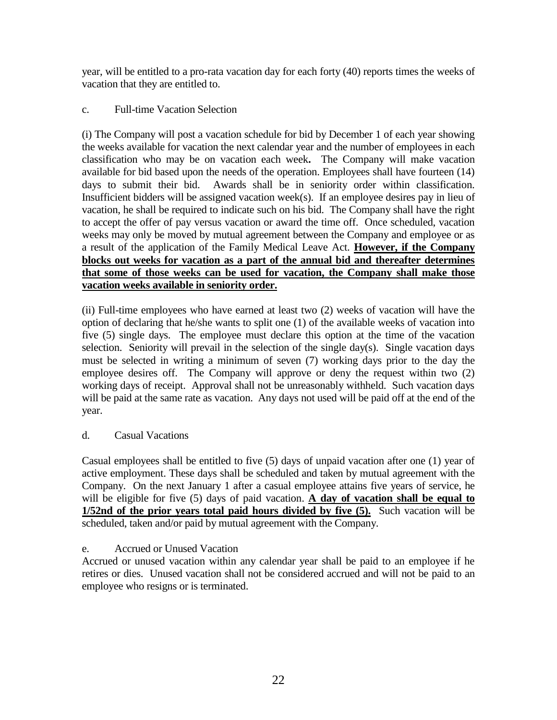year, will be entitled to a pro-rata vacation day for each forty (40) reports times the weeks of vacation that they are entitled to.

### c. Full-time Vacation Selection

(i) The Company will post a vacation schedule for bid by December 1 of each year showing the weeks available for vacation the next calendar year and the number of employees in each classification who may be on vacation each week**.** The Company will make vacation available for bid based upon the needs of the operation. Employees shall have fourteen (14) days to submit their bid. Awards shall be in seniority order within classification. Insufficient bidders will be assigned vacation week(s). If an employee desires pay in lieu of vacation, he shall be required to indicate such on his bid. The Company shall have the right to accept the offer of pay versus vacation or award the time off. Once scheduled, vacation weeks may only be moved by mutual agreement between the Company and employee or as a result of the application of the Family Medical Leave Act. **However, if the Company blocks out weeks for vacation as a part of the annual bid and thereafter determines that some of those weeks can be used for vacation, the Company shall make those vacation weeks available in seniority order.**

(ii) Full-time employees who have earned at least two (2) weeks of vacation will have the option of declaring that he/she wants to split one (1) of the available weeks of vacation into five (5) single days. The employee must declare this option at the time of the vacation selection. Seniority will prevail in the selection of the single day(s). Single vacation days must be selected in writing a minimum of seven (7) working days prior to the day the employee desires off. The Company will approve or deny the request within two (2) working days of receipt. Approval shall not be unreasonably withheld. Such vacation days will be paid at the same rate as vacation. Any days not used will be paid off at the end of the year.

### d. Casual Vacations

Casual employees shall be entitled to five (5) days of unpaid vacation after one (1) year of active employment. These days shall be scheduled and taken by mutual agreement with the Company. On the next January 1 after a casual employee attains five years of service, he will be eligible for five (5) days of paid vacation. **A day of vacation shall be equal to 1/52nd of the prior years total paid hours divided by five (5).** Such vacation will be scheduled, taken and/or paid by mutual agreement with the Company.

### e. Accrued or Unused Vacation

Accrued or unused vacation within any calendar year shall be paid to an employee if he retires or dies. Unused vacation shall not be considered accrued and will not be paid to an employee who resigns or is terminated.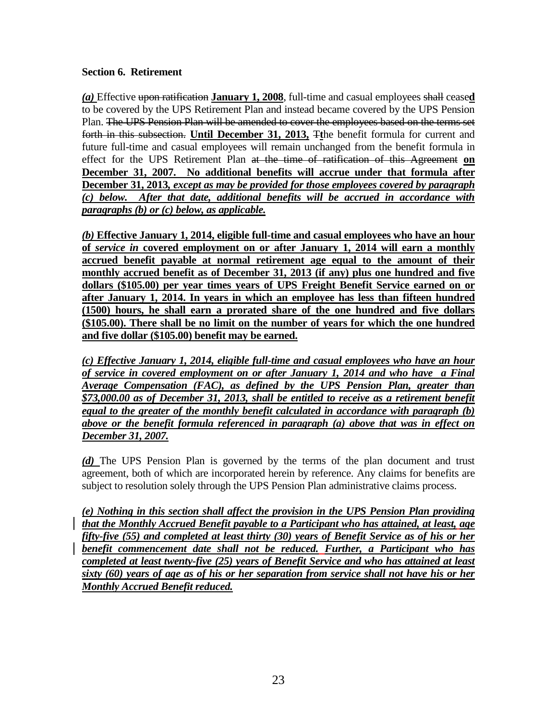### **Section 6. Retirement**

*(a)* Effective upon ratification **January 1, 2008**, full-time and casual employees shall cease**d** to be covered by the UPS Retirement Plan and instead became covered by the UPS Pension Plan. The UPS Pension Plan will be amended to cover the employees based on the terms set forth in this subsection. **Until December 31, 2013,** T**t**he benefit formula for current and future full-time and casual employees will remain unchanged from the benefit formula in effect for the UPS Retirement Plan at the time of ratification of this Agreement **on December 31, 2007. No additional benefits will accrue under that formula after December 31, 2013***, except as may be provided for those employees covered by paragraph (c) below. After that date, additional benefits will be accrued in accordance with paragraphs (b) or (c) below, as applicable.*

*(b)* **Effective January 1, 2014, eligible full-time and casual employees who have an hour of** *service in* **covered employment on or after January 1, 2014 will earn a monthly accrued benefit payable at normal retirement age equal to the amount of their monthly accrued benefit as of December 31, 2013 (if any) plus one hundred and five dollars (\$105.00) per year times years of UPS Freight Benefit Service earned on or after January 1, 2014. In years in which an employee has less than fifteen hundred (1500) hours, he shall earn a prorated share of the one hundred and five dollars (\$105.00). There shall be no limit on the number of years for which the one hundred and five dollar (\$105.00) benefit may be earned.** 

*(c) Effective January 1, 2014, eligible full-time and casual employees who have an hour of service in covered employment on or after January 1, 2014 and who have a Final Average Compensation (FAC), as defined by the UPS Pension Plan, greater than \$73,000.00 as of December 31, 2013, shall be entitled to receive as a retirement benefit equal to the greater of the monthly benefit calculated in accordance with paragraph (b) above or the benefit formula referenced in paragraph (a) above that was in effect on December 31, 2007.*

*(d)* The UPS Pension Plan is governed by the terms of the plan document and trust agreement, both of which are incorporated herein by reference. Any claims for benefits are subject to resolution solely through the UPS Pension Plan administrative claims process.

*(e) Nothing in this section shall affect the provision in the UPS Pension Plan providing that the Monthly Accrued Benefit payable to a Participant who has attained, at least, age fifty-five (55) and completed at least thirty (30) years of Benefit Service as of his or her benefit commencement date shall not be reduced. Further, a Participant who has completed at least twenty-five (25) years of Benefit Service and who has attained at least sixty (60) years of age as of his or her separation from service shall not have his or her Monthly Accrued Benefit reduced.*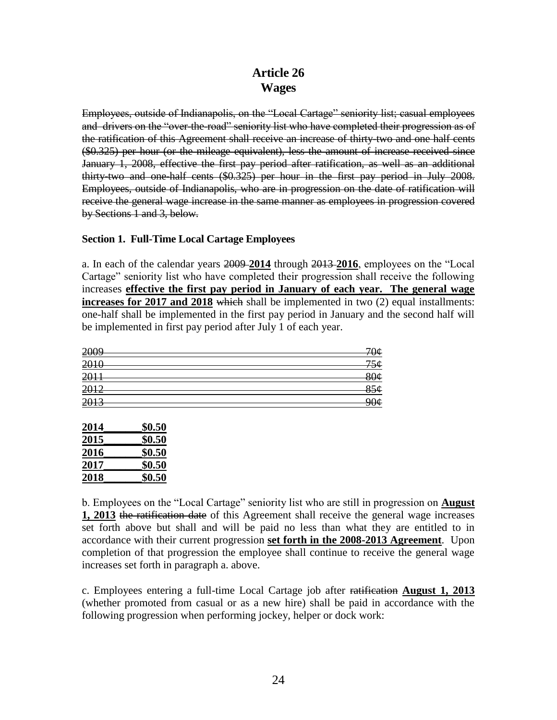# **Article 26 Wages**

Employees, outside of Indianapolis, on the "Local Cartage" seniority list; casual employees and drivers on the "over-the-road" seniority list who have completed their progression as of the ratification of this Agreement shall receive an increase of thirty-two and one half cents (\$0.325) per hour (or the mileage equivalent), less the amount of increase received since January 1, 2008, effective the first pay period after ratification, as well as an additional thirty-two and one-half cents (\$0.325) per hour in the first pay period in July 2008. Employees, outside of Indianapolis, who are in progression on the date of ratification will receive the general wage increase in the same manner as employees in progression covered by Sections 1 and 3, below.

### **Section 1. Full-Time Local Cartage Employees**

a. In each of the calendar years 2009 **2014** through 2013 **2016**, employees on the "Local Cartage" seniority list who have completed their progression shall receive the following increases **effective the first pay period in January of each year. The general wage increases for 2017 and 2018** which shall be implemented in two (2) equal installments: one-half shall be implemented in the first pay period in January and the second half will be implemented in first pay period after July 1 of each year.

| 70¢             |
|-----------------|
| 756             |
| 80¢             |
| 856             |
| 90 <sub>¢</sub> |
|                 |

| 2014 | \$0.50 |
|------|--------|
| 2015 | \$0.50 |
| 2016 | \$0.50 |
| 2017 | \$0.50 |
| 2018 | \$0.50 |

b. Employees on the "Local Cartage" seniority list who are still in progression on **August 1, 2013** the ratification date of this Agreement shall receive the general wage increases set forth above but shall and will be paid no less than what they are entitled to in accordance with their current progression **set forth in the 2008-2013 Agreement**. Upon completion of that progression the employee shall continue to receive the general wage increases set forth in paragraph a. above.

c. Employees entering a full-time Local Cartage job after ratification **August 1, 2013** (whether promoted from casual or as a new hire) shall be paid in accordance with the following progression when performing jockey, helper or dock work: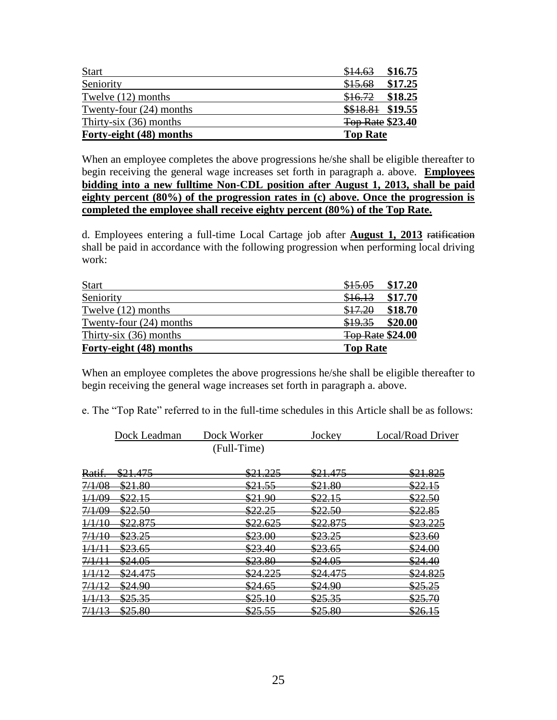| <b>Start</b>              | \$16.75<br>\$14.63      |
|---------------------------|-------------------------|
| Seniority                 | \$17.25<br>\$15.68      |
| Twelve (12) months        | \$18.25<br>\$16.72      |
| Twenty-four $(24)$ months | \$\$18.81 \$19.55       |
| Thirty-six $(36)$ months  | <b>Top Rate \$23.40</b> |
| Forty-eight (48) months   | <b>Top Rate</b>         |

When an employee completes the above progressions he/she shall be eligible thereafter to begin receiving the general wage increases set forth in paragraph a. above. **Employees bidding into a new fulltime Non-CDL position after August 1, 2013, shall be paid eighty percent (80%) of the progression rates in (c) above. Once the progression is completed the employee shall receive eighty percent (80%) of the Top Rate.** 

d. Employees entering a full-time Local Cartage job after **August 1, 2013** ratification shall be paid in accordance with the following progression when performing local driving work:

| <b>Start</b>              | \$15.05<br>\$17.20      |
|---------------------------|-------------------------|
| Seniority                 | \$17.70<br>\$16.13      |
| Twelve (12) months        | \$18.70<br>\$17.20      |
| Twenty-four $(24)$ months | \$19.35<br>\$20.00      |
| Thirty-six $(36)$ months  | <b>Top Rate \$24.00</b> |
| Forty-eight (48) months   | <b>Top Rate</b>         |

When an employee completes the above progressions he/she shall be eligible thereafter to begin receiving the general wage increases set forth in paragraph a. above.

|                   | Dock Leadman       | Dock Worker         | Jockey              | Local/Road Driver   |
|-------------------|--------------------|---------------------|---------------------|---------------------|
|                   |                    | (Full-Time)         |                     |                     |
| Ratif.            | \$21.475           | <u>\$21.225</u>     | <del>\$21.475</del> | <del>\$21.825</del> |
| 7/1/08            | \$21.80            | <u>\$21.55 </u>     | \$21.80             | <u>\$22.15</u>      |
| 1/1/09            | \$22.15            | \$21.90             | <u>\$22.15 </u>     | \$22.50             |
| 7/1/09            | <del>\$22.50</del> | \$22.25             | <del>\$22.50</del>  | <u>\$22.85</u>      |
| 1/1/10            | <u>\$22.875</u>    | <del>\$22.625</del> | <u>\$22.875</u>     | \$23.225            |
| 7/1/10            | \$23.25            | \$23.00             | <u>\$23.25</u>      | <del>\$23.60</del>  |
| 1/1/11            | <u>\$23.65</u>     | \$23.40             | \$23.65             | \$24.00             |
| 7/1/11            | \$24.05            | \$23.80             | <u>\$24.05</u>      | \$24.40             |
| 1/1/12            | \$24.475           | <u>\$24.225</u>     | \$24.475            | \$24.825            |
| <del>7/1/12</del> | <u>\$24.90</u>     | <u>\$24.65</u>      | <del>\$24.90</del>  | <del>\$25.25</del>  |
| 1/1/13            | <del>\$25.35</del> | \$25.10             | <u>\$25.35 </u>     | <del>\$25.70</del>  |
| 7/1/13            | \$25.80            | \$25.55             | \$25.80             | <u>\$26.15</u>      |

e. The "Top Rate" referred to in the full-time schedules in this Article shall be as follows: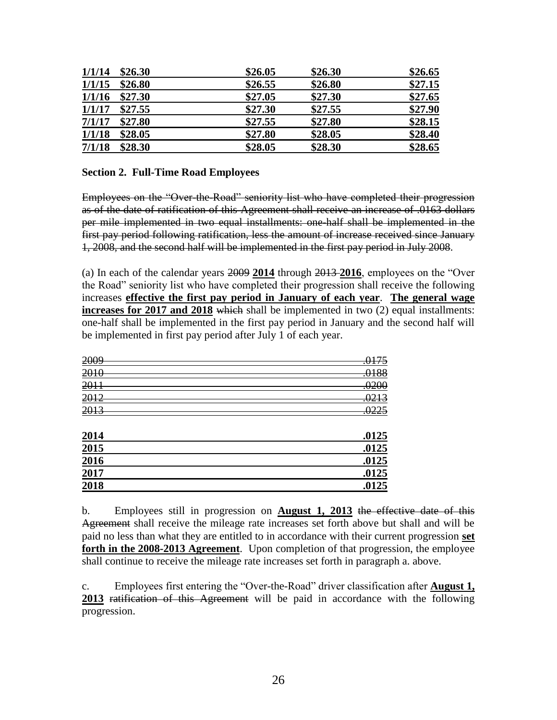| 1/1/14 | \$26.30 | \$26.05 | \$26.30 | \$26.65 |
|--------|---------|---------|---------|---------|
| 1/1/15 | \$26.80 | \$26.55 | \$26.80 | \$27.15 |
| 1/1/16 | \$27.30 | \$27.05 | \$27.30 | \$27.65 |
| 1/1/17 | \$27.55 | \$27.30 | \$27.55 | \$27.90 |
| 7/1/17 | \$27.80 | \$27.55 | \$27.80 | \$28.15 |
| 1/1/18 | \$28.05 | \$27.80 | \$28.05 | \$28.40 |
| 7/1/18 | \$28.30 | \$28.05 | \$28.30 | \$28.65 |

#### **Section 2. Full-Time Road Employees**

Employees on the "Over-the-Road" seniority list who have completed their progression as of the date of ratification of this Agreement shall receive an increase of .0163 dollars per mile implemented in two equal installments: one-half shall be implemented in the first pay period following ratification, less the amount of increase received since January 1, 2008, and the second half will be implemented in the first pay period in July 2008.

(a) In each of the calendar years 2009 **2014** through 2013 **2016**, employees on the "Over the Road" seniority list who have completed their progression shall receive the following increases **effective the first pay period in January of each year**. **The general wage increases for 2017 and 2018** which shall be implemented in two (2) equal installments: one-half shall be implemented in the first pay period in January and the second half will be implemented in first pay period after July 1 of each year.

| 2009 | .0175 |
|------|-------|
| 2010 | .0188 |
| 2011 | .0200 |
| 2012 | .0213 |
| 2013 | .0225 |
|      |       |
| 2014 | .0125 |
| 2015 | .0125 |
| 2016 | .0125 |
| 2017 | .0125 |
| 2018 | .0125 |

b. Employees still in progression on **August 1, 2013** the effective date of this Agreement shall receive the mileage rate increases set forth above but shall and will be paid no less than what they are entitled to in accordance with their current progression **set forth in the 2008-2013 Agreement**. Upon completion of that progression, the employee shall continue to receive the mileage rate increases set forth in paragraph a. above.

c. Employees first entering the "Over-the-Road" driver classification after **August 1, 2013** ratification of this Agreement will be paid in accordance with the following progression.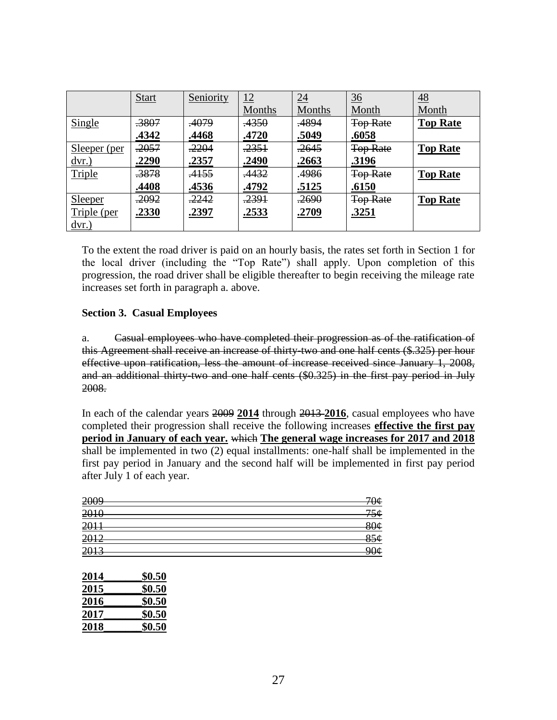|                           | <b>Start</b>     | Seniority    | 12               | $\overline{24}$  | $\frac{36}{5}$  | <u>48</u>       |
|---------------------------|------------------|--------------|------------------|------------------|-----------------|-----------------|
|                           |                  |              | Months           | <b>Months</b>    | Month           | Month           |
| Single                    | .3807            | .4079        | <del>.4350</del> | .4894            | <b>Top Rate</b> | <b>Top Rate</b> |
|                           | .4342            | .4468        | .4720            | .5049            | .6058           |                 |
| Sleeper (per              | .2057            | .2204        | .2351            | .2645            | <b>Top Rate</b> | <b>Top Rate</b> |
| $\underline{\text{dvr.}}$ | .2290            | .2357        | .2490            | .2663            | .3196           |                 |
| Triple                    | .3878            | .4155        | .4432            | 4986             | <b>Top Rate</b> | <b>Top Rate</b> |
|                           | .4408            | .4536        | .4792            | .5125            | .6150           |                 |
| Sleeper                   | <del>.2092</del> | .2242        | <del>.2391</del> | <del>.2690</del> | <b>Top Rate</b> | <b>Top Rate</b> |
| Triple (per               | <u>.2330</u>     | <u>.2397</u> | <u>.2533</u>     | <u>.2709</u>     | .3251           |                 |
| $\frac{dvr.}{dt}$         |                  |              |                  |                  |                 |                 |

To the extent the road driver is paid on an hourly basis, the rates set forth in Section 1 for the local driver (including the "Top Rate") shall apply. Upon completion of this progression, the road driver shall be eligible thereafter to begin receiving the mileage rate increases set forth in paragraph a. above.

### **Section 3. Casual Employees**

a. Casual employees who have completed their progression as of the ratification of this Agreement shall receive an increase of thirty-two and one half cents (\$.325) per hour effective upon ratification, less the amount of increase received since January 1, 2008, and an additional thirty-two and one half cents (\$0.325) in the first pay period in July 2008.

In each of the calendar years 2009 **2014** through 2013 **2016**, casual employees who have completed their progression shall receive the following increases **effective the first pay period in January of each year.** which **The general wage increases for 2017 and 2018** shall be implemented in two (2) equal installments: one-half shall be implemented in the first pay period in January and the second half will be implemented in first pay period after July 1 of each year.

| 2009 | 70¢             |
|------|-----------------|
| 2010 | 75¢             |
| 2011 | 80 <sub>¢</sub> |
| 2012 | 856             |
| 2013 | 90¢             |
| 201  |                 |

| 2014 | \$0.50 |
|------|--------|
| 2015 | \$0.50 |
| 2016 | \$0.50 |
| 2017 | \$0.50 |
| 2018 | \$0.50 |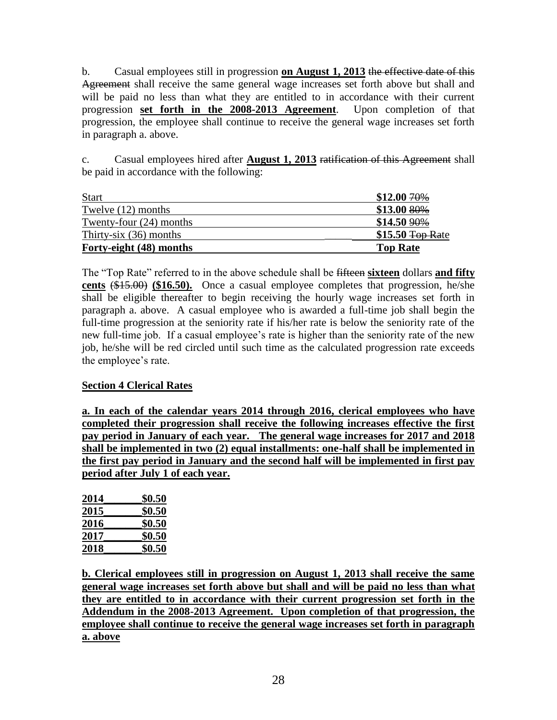b. Casual employees still in progression **on August 1, 2013** the effective date of this Agreement shall receive the same general wage increases set forth above but shall and will be paid no less than what they are entitled to in accordance with their current progression **set forth in the 2008-2013 Agreement**. Upon completion of that progression, the employee shall continue to receive the general wage increases set forth in paragraph a. above.

c. Casual employees hired after **August 1, 2013** ratification of this Agreement shall be paid in accordance with the following:

| <b>Start</b>              | $$12.0070\%$      |
|---------------------------|-------------------|
| Twelve $(12)$ months      | $$13.0080\%$      |
| Twenty-four $(24)$ months | $$14.509\%$       |
| Thirty-six $(36)$ months  | $$15.50$ Top Rate |
| Forty-eight (48) months   | <b>Top Rate</b>   |

The "Top Rate" referred to in the above schedule shall be fifteen **sixteen** dollars **and fifty cents** (\$15.00) **(\$16.50).** Once a casual employee completes that progression, he/she shall be eligible thereafter to begin receiving the hourly wage increases set forth in paragraph a. above. A casual employee who is awarded a full-time job shall begin the full-time progression at the seniority rate if his/her rate is below the seniority rate of the new full-time job. If a casual employee's rate is higher than the seniority rate of the new job, he/she will be red circled until such time as the calculated progression rate exceeds the employee's rate.

### **Section 4 Clerical Rates**

**a. In each of the calendar years 2014 through 2016, clerical employees who have completed their progression shall receive the following increases effective the first pay period in January of each year. The general wage increases for 2017 and 2018 shall be implemented in two (2) equal installments: one-half shall be implemented in the first pay period in January and the second half will be implemented in first pay period after July 1 of each year.**

| 2014 | \$0.50 |
|------|--------|
| 2015 | \$0.50 |
| 2016 | \$0.50 |
| 2017 | \$0.50 |
| 2018 | \$0.50 |

**b. Clerical employees still in progression on August 1, 2013 shall receive the same general wage increases set forth above but shall and will be paid no less than what they are entitled to in accordance with their current progression set forth in the Addendum in the 2008-2013 Agreement. Upon completion of that progression, the employee shall continue to receive the general wage increases set forth in paragraph a. above**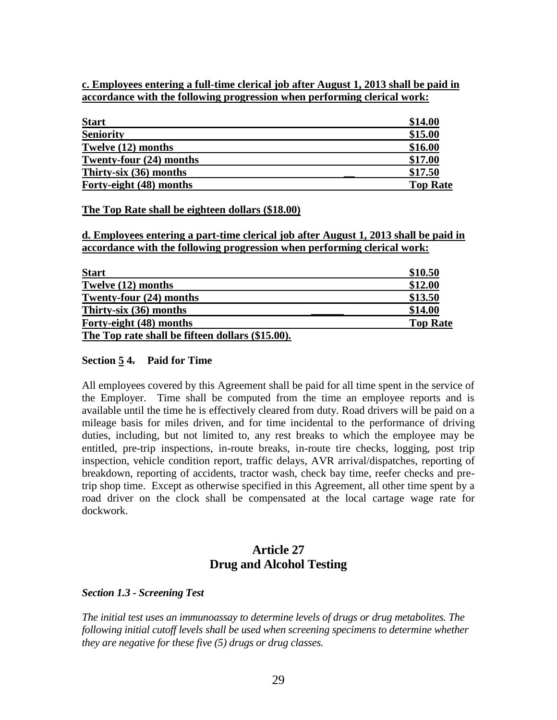#### **c. Employees entering a full-time clerical job after August 1, 2013 shall be paid in accordance with the following progression when performing clerical work:**

| <b>Start</b>            | \$14.00         |
|-------------------------|-----------------|
| <b>Seniority</b>        | \$15.00         |
| Twelve (12) months      | \$16.00         |
| Twenty-four (24) months | \$17.00         |
| Thirty-six (36) months  | \$17.50         |
| Forty-eight (48) months | <b>Top Rate</b> |

#### **The Top Rate shall be eighteen dollars (\$18.00)**

**d. Employees entering a part-time clerical job after August 1, 2013 shall be paid in accordance with the following progression when performing clerical work:**

| <b>Start</b>                                     | \$10.50         |
|--------------------------------------------------|-----------------|
| Twelve (12) months                               | \$12.00         |
| Twenty-four (24) months                          | \$13.50         |
| Thirty-six (36) months                           | \$14.00         |
| Forty-eight (48) months                          | <b>Top Rate</b> |
| The Top rate shall be fifteen dollars (\$15.00). |                 |

#### **Section 5 4. Paid for Time**

All employees covered by this Agreement shall be paid for all time spent in the service of the Employer. Time shall be computed from the time an employee reports and is available until the time he is effectively cleared from duty. Road drivers will be paid on a mileage basis for miles driven, and for time incidental to the performance of driving duties, including, but not limited to, any rest breaks to which the employee may be entitled, pre-trip inspections, in-route breaks, in-route tire checks, logging, post trip inspection, vehicle condition report, traffic delays, AVR arrival/dispatches, reporting of breakdown, reporting of accidents, tractor wash, check bay time, reefer checks and pretrip shop time. Except as otherwise specified in this Agreement, all other time spent by a road driver on the clock shall be compensated at the local cartage wage rate for dockwork.

## **Article 27 Drug and Alcohol Testing**

#### *Section 1.3 - Screening Test*

*The initial test uses an immunoassay to determine levels of drugs or drug metabolites. The following initial cutoff levels shall be used when screening specimens to determine whether they are negative for these five (5) drugs or drug classes.*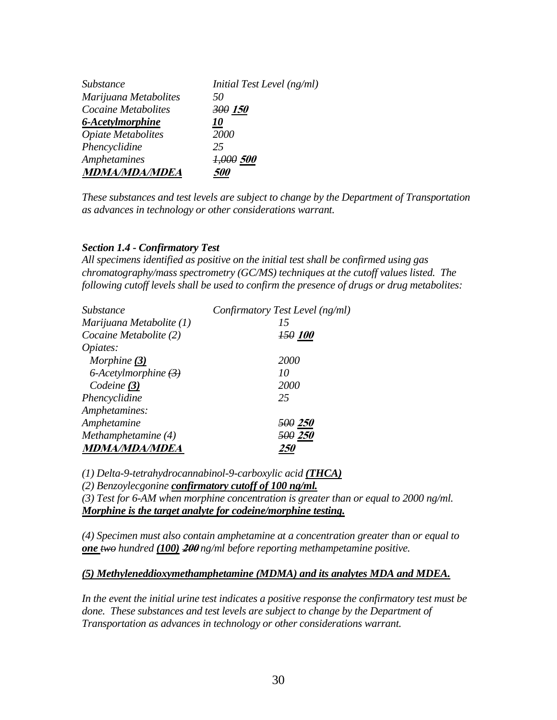| Substance                 | Initial Test Level (ng/ml) |
|---------------------------|----------------------------|
| Marijuana Metabolites     | 50                         |
| Cocaine Metabolites       | 300 150                    |
| 6-Acetylmorphine          | <i>10</i>                  |
| <b>Opiate Metabolites</b> | <b>2000</b>                |
| Phencyclidine             | 25                         |
| <b>Amphetamines</b>       | 1,000 500                  |
| <b>MDMA/MDA/MDEA</b>      | <i>500</i>                 |

*These substances and test levels are subject to change by the Department of Transportation as advances in technology or other considerations warrant.*

#### *Section 1.4 - Confirmatory Test*

*All specimens identified as positive on the initial test shall be confirmed using gas chromatography/mass spectrometry (GC/MS) techniques at the cutoff values listed. The following cutoff levels shall be used to confirm the presence of drugs or drug metabolites:*

| <b>Substance</b>            | Confirmatory Test Level (ng/ml) |
|-----------------------------|---------------------------------|
| Marijuana Metabolite (1)    | 15                              |
| Cocaine Metabolite (2)      | <b>150 100</b>                  |
| Opiates:                    |                                 |
| Morphine (3)                | 2000                            |
| 6-Acetylmorphine $(3)$      | 10                              |
| Codeine $(3)$               | 2000                            |
| Phencyclidine               | 25                              |
| Amphetamines:               |                                 |
| Amphetamine                 | <del>500</del> 250              |
| Methamphetamine (4)         | <i><b>500 250</b></i>           |
| <i><b>MDMA/MDA/MDEA</b></i> |                                 |

*(1) Delta-9-tetrahydrocannabinol-9-carboxylic acid (THCA)*

*(2) Benzoylecgonine confirmatory cutoff of 100 ng/ml.*

*(3) Test for 6-AM when morphine concentration is greater than or equal to 2000 ng/ml. Morphine is the target analyte for codeine/morphine testing.*

*(4) Specimen must also contain amphetamine at a concentration greater than or equal to one two hundred (100)* **<sup>200</sup>** *ng/ml before reporting methampetamine positive.*

#### *(5) Methyleneddioxymethamphetamine (MDMA) and its analytes MDA and MDEA.*

*In the event the initial urine test indicates a positive response the confirmatory test must be*  done. These substances and test levels are subject to change by the Department of *Transportation as advances in technology or other considerations warrant.*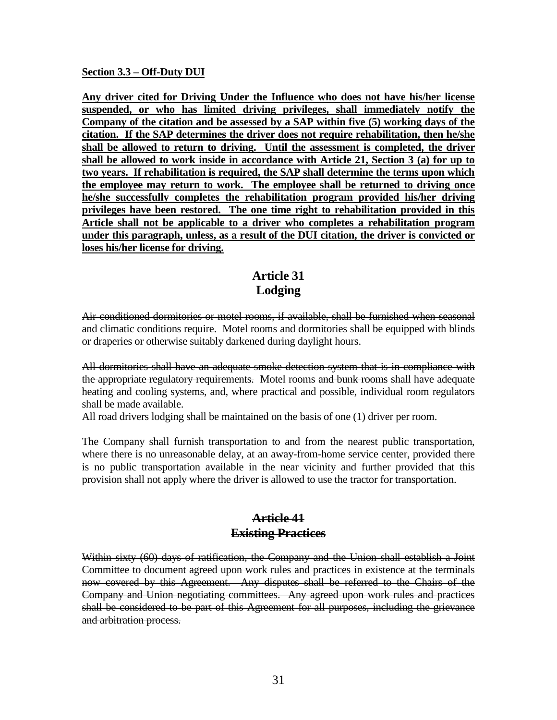#### **Section 3.3 – Off-Duty DUI**

**Any driver cited for Driving Under the Influence who does not have his/her license suspended, or who has limited driving privileges, shall immediately notify the Company of the citation and be assessed by a SAP within five (5) working days of the citation. If the SAP determines the driver does not require rehabilitation, then he/she shall be allowed to return to driving. Until the assessment is completed, the driver shall be allowed to work inside in accordance with Article 21, Section 3 (a) for up to two years. If rehabilitation is required, the SAP shall determine the terms upon which the employee may return to work. The employee shall be returned to driving once he/she successfully completes the rehabilitation program provided his/her driving privileges have been restored. The one time right to rehabilitation provided in this Article shall not be applicable to a driver who completes a rehabilitation program under this paragraph, unless, as a result of the DUI citation, the driver is convicted or loses his/her license for driving.**

## **Article 31 Lodging**

Air conditioned dormitories or motel rooms, if available, shall be furnished when seasonal and climatic conditions require. Motel rooms and dormitories shall be equipped with blinds or draperies or otherwise suitably darkened during daylight hours.

All dormitories shall have an adequate smoke detection system that is in compliance with the appropriate regulatory requirements. Motel rooms and bunk rooms shall have adequate heating and cooling systems, and, where practical and possible, individual room regulators shall be made available.

All road drivers lodging shall be maintained on the basis of one (1) driver per room.

The Company shall furnish transportation to and from the nearest public transportation, where there is no unreasonable delay, at an away-from-home service center, provided there is no public transportation available in the near vicinity and further provided that this provision shall not apply where the driver is allowed to use the tractor for transportation.

### **Article 41 Existing Practices**

Within sixty (60) days of ratification, the Company and the Union shall establish a Joint Committee to document agreed upon work rules and practices in existence at the terminals now covered by this Agreement. Any disputes shall be referred to the Chairs of the Company and Union negotiating committees. Any agreed upon work rules and practices shall be considered to be part of this Agreement for all purposes, including the grievance and arbitration process.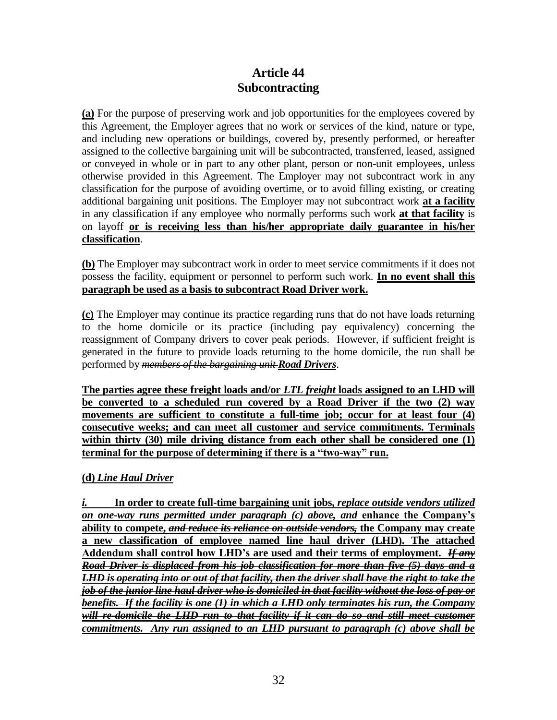# **Article 44 Subcontracting**

**(a)** For the purpose of preserving work and job opportunities for the employees covered by this Agreement, the Employer agrees that no work or services of the kind, nature or type, and including new operations or buildings, covered by, presently performed, or hereafter assigned to the collective bargaining unit will be subcontracted, transferred, leased, assigned or conveyed in whole or in part to any other plant, person or non-unit employees, unless otherwise provided in this Agreement. The Employer may not subcontract work in any classification for the purpose of avoiding overtime, or to avoid filling existing, or creating additional bargaining unit positions. The Employer may not subcontract work **at a facility** in any classification if any employee who normally performs such work **at that facility** is on layoff **or is receiving less than his/her appropriate daily guarantee in his/her classification**.

**(b)** The Employer may subcontract work in order to meet service commitments if it does not possess the facility, equipment or personnel to perform such work. **In no event shall this paragraph be used as a basis to subcontract Road Driver work.**

**(c)** The Employer may continue its practice regarding runs that do not have loads returning to the home domicile or its practice (including pay equivalency) concerning the reassignment of Company drivers to cover peak periods. However, if sufficient freight is generated in the future to provide loads returning to the home domicile, the run shall be performed by *members of the bargaining unit Road Drivers*.

**The parties agree these freight loads and/or** *LTL freight* **loads assigned to an LHD will be converted to a scheduled run covered by a Road Driver if the two (2) way movements are sufficient to constitute a full-time job; occur for at least four (4) consecutive weeks; and can meet all customer and service commitments. Terminals**  within thirty (30) mile driving distance from each other shall be considered one (1) **terminal for the purpose of determining if there is a "two-way" run.**

### **(d)** *Line Haul Driver*

*i.* **In order to create full-time bargaining unit jobs,** *replace outside vendors utilized on one-way runs permitted under paragraph (c) above, and* **enhance the Company's ability to compete,** *and reduce its reliance on outside vendors,* **the Company may create a new classification of employee named line haul driver (LHD). The attached Addendum shall control how LHD's are used and their terms of employment.** *If any Road Driver is displaced from his job classification for more than five (5) days and a LHD is operating into or out of that facility, then the driver shall have the right to take the job of the junior line haul driver who is domiciled in that facility without the loss of pay or benefits. If the facility is one (1) in which a LHD only terminates his run, the Company will re-domicile the LHD run to that facility if it can do so and still meet customer commitments.**Any run assigned to an LHD pursuant to paragraph (c) above shall be*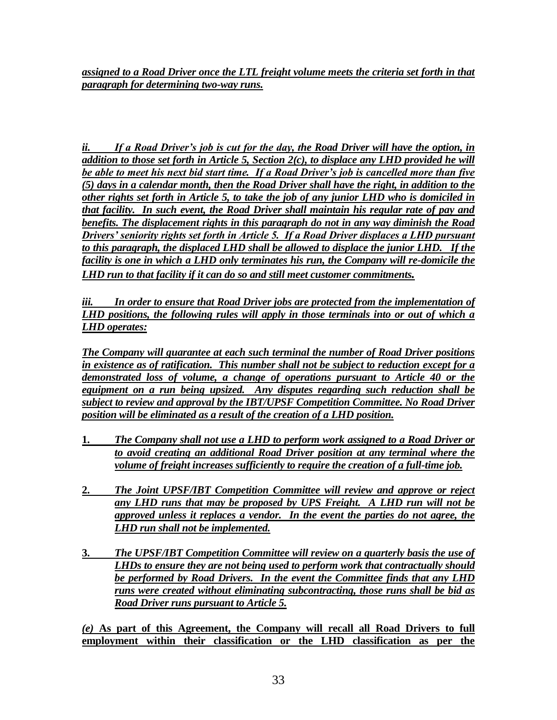*assigned to a Road Driver once the LTL freight volume meets the criteria set forth in that paragraph for determining two-way runs.*

*ii. If a Road Driver's job is cut for the day, the Road Driver will have the option, in addition to those set forth in Article 5, Section 2(c), to displace any LHD provided he will be able to meet his next bid start time. If a Road Driver's job is cancelled more than five (5) days in a calendar month, then the Road Driver shall have the right, in addition to the other rights set forth in Article 5, to take the job of any junior LHD who is domiciled in that facility. In such event, the Road Driver shall maintain his regular rate of pay and benefits. The displacement rights in this paragraph do not in any way diminish the Road Drivers' seniority rights set forth in Article 5. If a Road Driver displaces a LHD pursuant to this paragraph, the displaced LHD shall be allowed to displace the junior LHD. If the facility is one in which a LHD only terminates his run, the Company will re-domicile the LHD run to that facility if it can do so and still meet customer commitments.* 

*iii. In order to ensure that Road Driver jobs are protected from the implementation of LHD positions, the following rules will apply in those terminals into or out of which a LHD operates:*

*The Company will guarantee at each such terminal the number of Road Driver positions in existence as of ratification. This number shall not be subject to reduction except for a demonstrated loss of volume, a change of operations pursuant to Article 40 or the equipment on a run being upsized. Any disputes regarding such reduction shall be subject to review and approval by the IBT/UPSF Competition Committee. No Road Driver position will be eliminated as a result of the creation of a LHD position.*

- **1.** *The Company shall not use a LHD to perform work assigned to a Road Driver or to avoid creating an additional Road Driver position at any terminal where the volume of freight increases sufficiently to require the creation of a full-time job.*
- **2.** *The Joint UPSF/IBT Competition Committee will review and approve or reject any LHD runs that may be proposed by UPS Freight. A LHD run will not be approved unless it replaces a vendor. In the event the parties do not agree, the LHD run shall not be implemented.*
- **3.** *The UPSF/IBT Competition Committee will review on a quarterly basis the use of LHDs to ensure they are not being used to perform work that contractually should be performed by Road Drivers. In the event the Committee finds that any LHD runs were created without eliminating subcontracting, those runs shall be bid as Road Driver runs pursuant to Article 5.*

*(e)* **As part of this Agreement, the Company will recall all Road Drivers to full employment within their classification or the LHD classification as per the**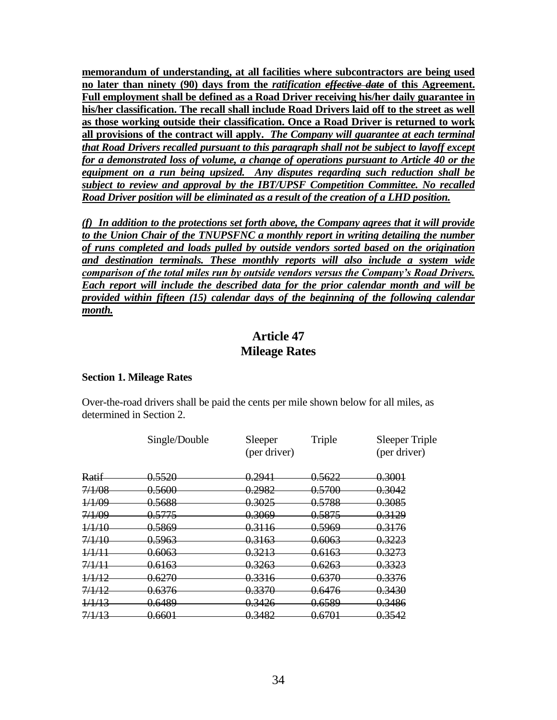**memorandum of understanding, at all facilities where subcontractors are being used no later than ninety (90) days from the** *ratification effective date* **of this Agreement.** **Full employment shall be defined as a Road Driver receiving his/her daily guarantee in his/her classification. The recall shall include Road Drivers laid off to the street as well as those working outside their classification. Once a Road Driver is returned to work all provisions of the contract will apply.** *The Company will guarantee at each terminal that Road Drivers recalled pursuant to this paragraph shall not be subject to layoff except for a demonstrated loss of volume, a change of operations pursuant to Article 40 or the equipment on a run being upsized. Any disputes regarding such reduction shall be subject to review and approval by the IBT/UPSF Competition Committee. No recalled Road Driver position will be eliminated as a result of the creation of a LHD position.*

*(f) In addition to the protections set forth above, the Company agrees that it will provide to the Union Chair of the TNUPSFNC a monthly report in writing detailing the number of runs completed and loads pulled by outside vendors sorted based on the origination and destination terminals. These monthly reports will also include a system wide comparison of the total miles run by outside vendors versus the Company's Road Drivers. Each report will include the described data for the prior calendar month and will be provided within fifteen (15) calendar days of the beginning of the following calendar month.*

## **Article 47 Mileage Rates**

#### **Section 1. Mileage Rates**

Over-the-road drivers shall be paid the cents per mile shown below for all miles, as determined in Section 2.

|        | Single/Double     | Sleeper<br>(per driver) | Triple            | <b>Sleeper Triple</b><br>(per driver) |
|--------|-------------------|-------------------------|-------------------|---------------------------------------|
| Ratif  | <del>0.5520</del> | <del>0.2941</del>       | <del>0.5622</del> | 0.3001                                |
| 7/1/08 | 0.5600            | 0.2982                  | 0.5700            | 0.3042                                |
| 1/1/09 | 0.5688            | 0.3025                  | 0.5788            | 0.3085                                |
| 7/1/09 | 0.5775            | 0.3069                  | 0.5875            | 0.3129                                |
| 1/1/10 | 0.5869            | 0.3116                  | <u>0.5969</u>     | 0.3176                                |
| 7/1/10 | 0.5963            | 0.3163                  | 0.6063            | 0.3223                                |
| 1/1/11 | 0.6063            | <del>0.3213</del>       | <del>0.6163</del> | <del>0.3273</del>                     |
| 7/1/11 | <del>0.6163</del> | 0.3263                  | 0.6263            | 0.3323                                |
| 1/1/12 | 0.6270            | 0.3316                  | 0.6370            | 0.3376                                |
| 7/1/12 | 0.6376            | 0.3370                  | 0.6476            | 0.3430                                |
| 1/1/13 | 0.6489            | 0.3426                  | 0.6589            | 0.3486                                |
| 7/1/13 | <del>0.6601</del> | 0.3482                  | 0.6701            | 0.3542                                |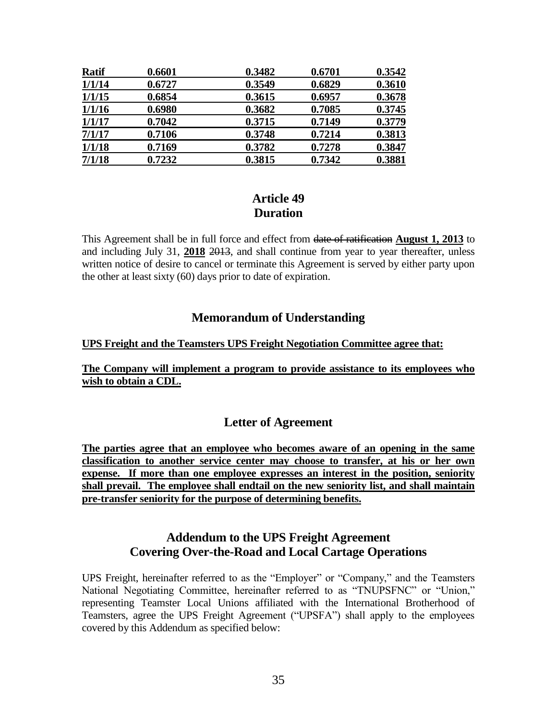| <b>Ratif</b> | 0.6601 | 0.3482 | 0.6701 | 0.3542 |
|--------------|--------|--------|--------|--------|
| 1/1/14       | 0.6727 | 0.3549 | 0.6829 | 0.3610 |
| 1/1/15       | 0.6854 | 0.3615 | 0.6957 | 0.3678 |
| 1/1/16       | 0.6980 | 0.3682 | 0.7085 | 0.3745 |
| 1/1/17       | 0.7042 | 0.3715 | 0.7149 | 0.3779 |
| 7/1/17       | 0.7106 | 0.3748 | 0.7214 | 0.3813 |
| 1/1/18       | 0.7169 | 0.3782 | 0.7278 | 0.3847 |
| 7/1/18       | 0.7232 | 0.3815 | 0.7342 | 0.3881 |

## **Article 49 Duration**

This Agreement shall be in full force and effect from date of ratification **August 1, 2013** to and including July 31, **2018** 2013, and shall continue from year to year thereafter, unless written notice of desire to cancel or terminate this Agreement is served by either party upon the other at least sixty (60) days prior to date of expiration.

## **Memorandum of Understanding**

### **UPS Freight and the Teamsters UPS Freight Negotiation Committee agree that:**

### **The Company will implement a program to provide assistance to its employees who wish to obtain a CDL.**

## **Letter of Agreement**

**The parties agree that an employee who becomes aware of an opening in the same classification to another service center may choose to transfer, at his or her own expense. If more than one employee expresses an interest in the position, seniority shall prevail. The employee shall endtail on the new seniority list, and shall maintain pre-transfer seniority for the purpose of determining benefits.**

## **Addendum to the UPS Freight Agreement Covering Over-the-Road and Local Cartage Operations**

UPS Freight, hereinafter referred to as the "Employer" or "Company," and the Teamsters National Negotiating Committee, hereinafter referred to as "TNUPSFNC" or "Union," representing Teamster Local Unions affiliated with the International Brotherhood of Teamsters, agree the UPS Freight Agreement ("UPSFA") shall apply to the employees covered by this Addendum as specified below: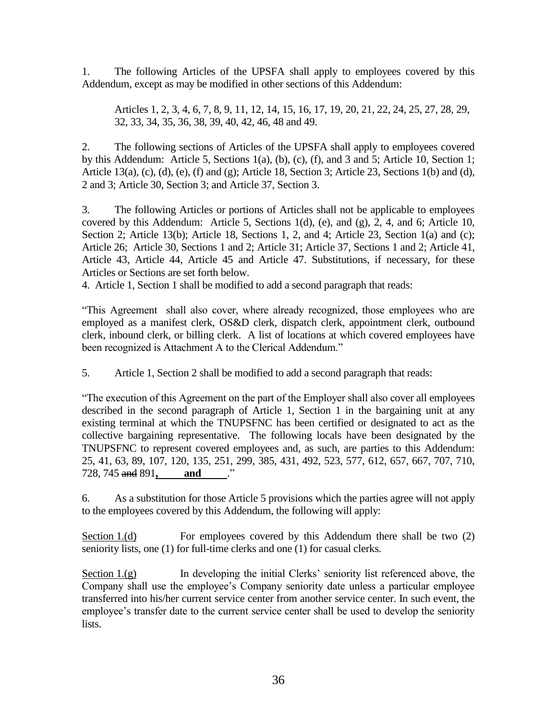1. The following Articles of the UPSFA shall apply to employees covered by this Addendum, except as may be modified in other sections of this Addendum:

Articles 1, 2, 3, 4, 6, 7, 8, 9, 11, 12, 14, 15, 16, 17, 19, 20, 21, 22, 24, 25, 27, 28, 29, 32, 33, 34, 35, 36, 38, 39, 40, 42, 46, 48 and 49.

2. The following sections of Articles of the UPSFA shall apply to employees covered by this Addendum: Article 5, Sections 1(a), (b), (c), (f), and 3 and 5; Article 10, Section 1; Article 13(a), (c), (d), (e), (f) and (g); Article 18, Section 3; Article 23, Sections 1(b) and (d), 2 and 3; Article 30, Section 3; and Article 37, Section 3.

3. The following Articles or portions of Articles shall not be applicable to employees covered by this Addendum: Article 5, Sections 1(d), (e), and (g), 2, 4, and 6; Article 10, Section 2; Article 13(b); Article 18, Sections 1, 2, and 4; Article 23, Section 1(a) and (c); Article 26; Article 30, Sections 1 and 2; Article 31; Article 37, Sections 1 and 2; Article 41, Article 43, Article 44, Article 45 and Article 47. Substitutions, if necessary, for these Articles or Sections are set forth below.

4. Article 1, Section 1 shall be modified to add a second paragraph that reads:

"This Agreement shall also cover, where already recognized, those employees who are employed as a manifest clerk, OS&D clerk, dispatch clerk, appointment clerk, outbound clerk, inbound clerk, or billing clerk. A list of locations at which covered employees have been recognized is Attachment A to the Clerical Addendum."

5. Article 1, Section 2 shall be modified to add a second paragraph that reads:

"The execution of this Agreement on the part of the Employer shall also cover all employees described in the second paragraph of Article 1, Section 1 in the bargaining unit at any existing terminal at which the TNUPSFNC has been certified or designated to act as the collective bargaining representative. The following locals have been designated by the TNUPSFNC to represent covered employees and, as such, are parties to this Addendum: 25, 41, 63, 89, 107, 120, 135, 251, 299, 385, 431, 492, 523, 577, 612, 657, 667, 707, 710, 728, 745 and 891**, and** ."

6. As a substitution for those Article 5 provisions which the parties agree will not apply to the employees covered by this Addendum, the following will apply:

Section 1.(d) For employees covered by this Addendum there shall be two (2) seniority lists, one (1) for full-time clerks and one (1) for casual clerks.

Section  $1.(g)$  In developing the initial Clerks' seniority list referenced above, the Company shall use the employee's Company seniority date unless a particular employee transferred into his/her current service center from another service center. In such event, the employee's transfer date to the current service center shall be used to develop the seniority lists.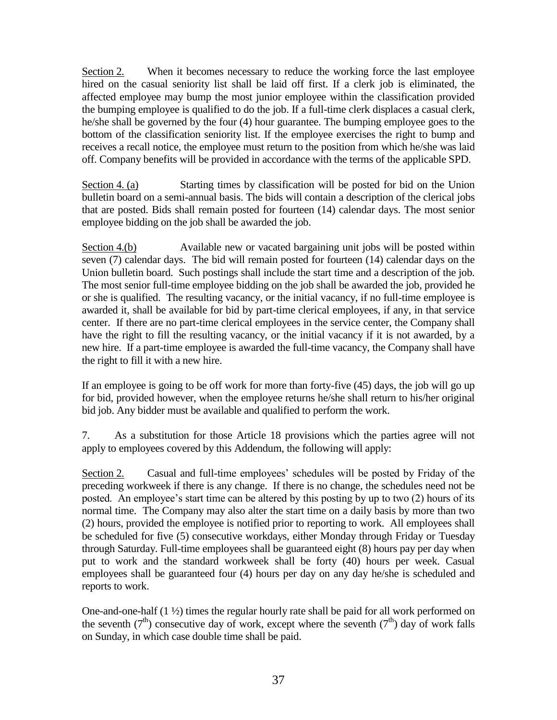Section 2. When it becomes necessary to reduce the working force the last employee hired on the casual seniority list shall be laid off first. If a clerk job is eliminated, the affected employee may bump the most junior employee within the classification provided the bumping employee is qualified to do the job. If a full-time clerk displaces a casual clerk, he/she shall be governed by the four (4) hour guarantee. The bumping employee goes to the bottom of the classification seniority list. If the employee exercises the right to bump and receives a recall notice, the employee must return to the position from which he/she was laid off. Company benefits will be provided in accordance with the terms of the applicable SPD.

Section 4. (a) Starting times by classification will be posted for bid on the Union bulletin board on a semi-annual basis. The bids will contain a description of the clerical jobs that are posted. Bids shall remain posted for fourteen (14) calendar days. The most senior employee bidding on the job shall be awarded the job.

Section 4.(b) Available new or vacated bargaining unit jobs will be posted within seven (7) calendar days. The bid will remain posted for fourteen (14) calendar days on the Union bulletin board. Such postings shall include the start time and a description of the job. The most senior full-time employee bidding on the job shall be awarded the job, provided he or she is qualified. The resulting vacancy, or the initial vacancy, if no full-time employee is awarded it, shall be available for bid by part-time clerical employees, if any, in that service center. If there are no part-time clerical employees in the service center, the Company shall have the right to fill the resulting vacancy, or the initial vacancy if it is not awarded, by a new hire. If a part-time employee is awarded the full-time vacancy, the Company shall have the right to fill it with a new hire.

If an employee is going to be off work for more than forty-five (45) days, the job will go up for bid, provided however, when the employee returns he/she shall return to his/her original bid job. Any bidder must be available and qualified to perform the work.

7. As a substitution for those Article 18 provisions which the parties agree will not apply to employees covered by this Addendum, the following will apply:

Section 2. Casual and full-time employees' schedules will be posted by Friday of the preceding workweek if there is any change. If there is no change, the schedules need not be posted. An employee's start time can be altered by this posting by up to two (2) hours of its normal time. The Company may also alter the start time on a daily basis by more than two (2) hours, provided the employee is notified prior to reporting to work. All employees shall be scheduled for five (5) consecutive workdays, either Monday through Friday or Tuesday through Saturday. Full-time employees shall be guaranteed eight (8) hours pay per day when put to work and the standard workweek shall be forty (40) hours per week. Casual employees shall be guaranteed four (4) hours per day on any day he/she is scheduled and reports to work.

One-and-one-half (1 ½) times the regular hourly rate shall be paid for all work performed on the seventh ( $7<sup>th</sup>$ ) consecutive day of work, except where the seventh ( $7<sup>th</sup>$ ) day of work falls on Sunday, in which case double time shall be paid.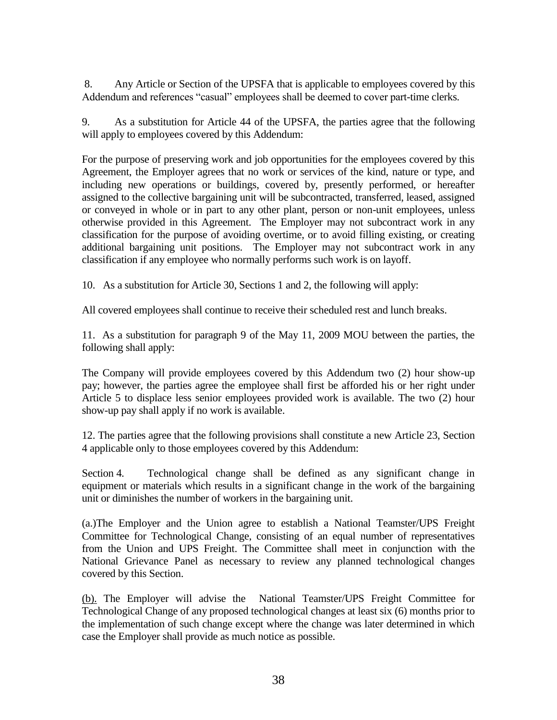8. Any Article or Section of the UPSFA that is applicable to employees covered by this Addendum and references "casual" employees shall be deemed to cover part-time clerks.

9. As a substitution for Article 44 of the UPSFA, the parties agree that the following will apply to employees covered by this Addendum:

For the purpose of preserving work and job opportunities for the employees covered by this Agreement, the Employer agrees that no work or services of the kind, nature or type, and including new operations or buildings, covered by, presently performed, or hereafter assigned to the collective bargaining unit will be subcontracted, transferred, leased, assigned or conveyed in whole or in part to any other plant, person or non-unit employees, unless otherwise provided in this Agreement. The Employer may not subcontract work in any classification for the purpose of avoiding overtime, or to avoid filling existing, or creating additional bargaining unit positions. The Employer may not subcontract work in any classification if any employee who normally performs such work is on layoff.

10. As a substitution for Article 30, Sections 1 and 2, the following will apply:

All covered employees shall continue to receive their scheduled rest and lunch breaks.

11. As a substitution for paragraph 9 of the May 11, 2009 MOU between the parties, the following shall apply:

The Company will provide employees covered by this Addendum two (2) hour show-up pay; however, the parties agree the employee shall first be afforded his or her right under Article 5 to displace less senior employees provided work is available. The two (2) hour show-up pay shall apply if no work is available.

12. The parties agree that the following provisions shall constitute a new Article 23, Section 4 applicable only to those employees covered by this Addendum:

Section 4. Technological change shall be defined as any significant change in equipment or materials which results in a significant change in the work of the bargaining unit or diminishes the number of workers in the bargaining unit.

(a.)The Employer and the Union agree to establish a National Teamster/UPS Freight Committee for Technological Change, consisting of an equal number of representatives from the Union and UPS Freight. The Committee shall meet in conjunction with the National Grievance Panel as necessary to review any planned technological changes covered by this Section.

(b). The Employer will advise the National Teamster/UPS Freight Committee for Technological Change of any proposed technological changes at least six (6) months prior to the implementation of such change except where the change was later determined in which case the Employer shall provide as much notice as possible.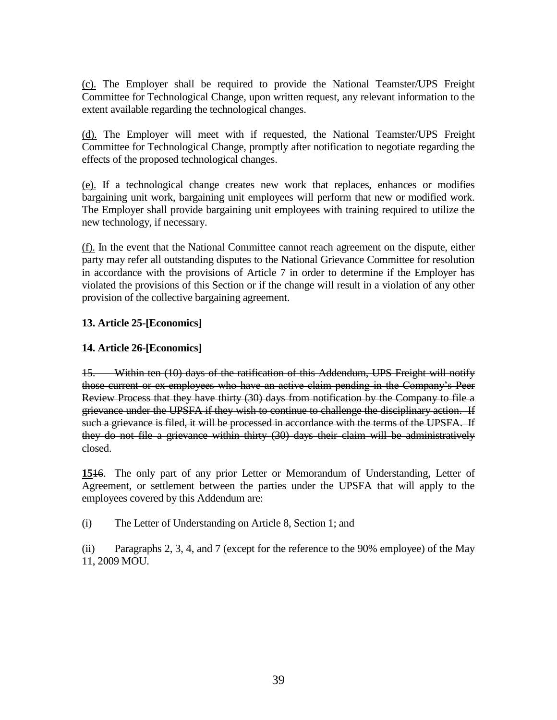(c). The Employer shall be required to provide the National Teamster/UPS Freight Committee for Technological Change, upon written request, any relevant information to the extent available regarding the technological changes.

(d). The Employer will meet with if requested, the National Teamster/UPS Freight Committee for Technological Change, promptly after notification to negotiate regarding the effects of the proposed technological changes.

(e). If a technological change creates new work that replaces, enhances or modifies bargaining unit work, bargaining unit employees will perform that new or modified work. The Employer shall provide bargaining unit employees with training required to utilize the new technology, if necessary.

(f). In the event that the National Committee cannot reach agreement on the dispute, either party may refer all outstanding disputes to the National Grievance Committee for resolution in accordance with the provisions of Article 7 in order to determine if the Employer has violated the provisions of this Section or if the change will result in a violation of any other provision of the collective bargaining agreement.

### **13. Article 25-[Economics]**

### **14. Article 26-[Economics]**

15. Within ten (10) days of the ratification of this Addendum, UPS Freight will notify those current or ex-employees who have an active claim pending in the Company's Peer Review Process that they have thirty (30) days from notification by the Company to file a grievance under the UPSFA if they wish to continue to challenge the disciplinary action. If such a grievance is filed, it will be processed in accordance with the terms of the UPSFA. If they do not file a grievance within thirty (30) days their claim will be administratively closed.

**15**16. The only part of any prior Letter or Memorandum of Understanding, Letter of Agreement, or settlement between the parties under the UPSFA that will apply to the employees covered by this Addendum are:

(i) The Letter of Understanding on Article 8, Section 1; and

(ii) Paragraphs 2, 3, 4, and 7 (except for the reference to the 90% employee) of the May 11, 2009 MOU.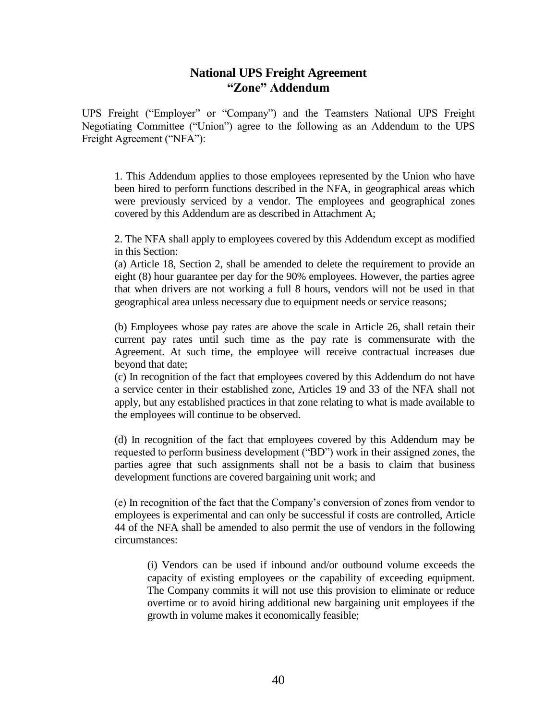### **National UPS Freight Agreement "Zone" Addendum**

UPS Freight ("Employer" or "Company") and the Teamsters National UPS Freight Negotiating Committee ("Union") agree to the following as an Addendum to the UPS Freight Agreement ("NFA"):

1. This Addendum applies to those employees represented by the Union who have been hired to perform functions described in the NFA, in geographical areas which were previously serviced by a vendor. The employees and geographical zones covered by this Addendum are as described in Attachment A;

2. The NFA shall apply to employees covered by this Addendum except as modified in this Section:

(a) Article 18, Section 2, shall be amended to delete the requirement to provide an eight (8) hour guarantee per day for the 90% employees. However, the parties agree that when drivers are not working a full 8 hours, vendors will not be used in that geographical area unless necessary due to equipment needs or service reasons;

(b) Employees whose pay rates are above the scale in Article 26, shall retain their current pay rates until such time as the pay rate is commensurate with the Agreement. At such time, the employee will receive contractual increases due beyond that date;

(c) In recognition of the fact that employees covered by this Addendum do not have a service center in their established zone, Articles 19 and 33 of the NFA shall not apply, but any established practices in that zone relating to what is made available to the employees will continue to be observed.

(d) In recognition of the fact that employees covered by this Addendum may be requested to perform business development ("BD") work in their assigned zones, the parties agree that such assignments shall not be a basis to claim that business development functions are covered bargaining unit work; and

(e) In recognition of the fact that the Company's conversion of zones from vendor to employees is experimental and can only be successful if costs are controlled, Article 44 of the NFA shall be amended to also permit the use of vendors in the following circumstances:

(i) Vendors can be used if inbound and/or outbound volume exceeds the capacity of existing employees or the capability of exceeding equipment. The Company commits it will not use this provision to eliminate or reduce overtime or to avoid hiring additional new bargaining unit employees if the growth in volume makes it economically feasible;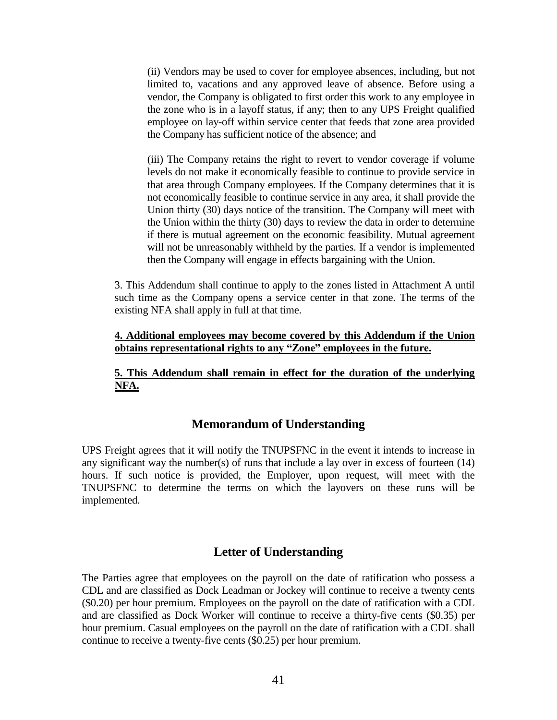(ii) Vendors may be used to cover for employee absences, including, but not limited to, vacations and any approved leave of absence. Before using a vendor, the Company is obligated to first order this work to any employee in the zone who is in a layoff status, if any; then to any UPS Freight qualified employee on lay-off within service center that feeds that zone area provided the Company has sufficient notice of the absence; and

(iii) The Company retains the right to revert to vendor coverage if volume levels do not make it economically feasible to continue to provide service in that area through Company employees. If the Company determines that it is not economically feasible to continue service in any area, it shall provide the Union thirty (30) days notice of the transition. The Company will meet with the Union within the thirty (30) days to review the data in order to determine if there is mutual agreement on the economic feasibility. Mutual agreement will not be unreasonably withheld by the parties. If a vendor is implemented then the Company will engage in effects bargaining with the Union.

3. This Addendum shall continue to apply to the zones listed in Attachment A until such time as the Company opens a service center in that zone. The terms of the existing NFA shall apply in full at that time.

#### **4. Additional employees may become covered by this Addendum if the Union obtains representational rights to any "Zone" employees in the future.**

**5. This Addendum shall remain in effect for the duration of the underlying NFA.**

### **Memorandum of Understanding**

UPS Freight agrees that it will notify the TNUPSFNC in the event it intends to increase in any significant way the number(s) of runs that include a lay over in excess of fourteen (14) hours. If such notice is provided, the Employer, upon request, will meet with the TNUPSFNC to determine the terms on which the layovers on these runs will be implemented.

### **Letter of Understanding**

The Parties agree that employees on the payroll on the date of ratification who possess a CDL and are classified as Dock Leadman or Jockey will continue to receive a twenty cents (\$0.20) per hour premium. Employees on the payroll on the date of ratification with a CDL and are classified as Dock Worker will continue to receive a thirty-five cents (\$0.35) per hour premium. Casual employees on the payroll on the date of ratification with a CDL shall continue to receive a twenty-five cents (\$0.25) per hour premium.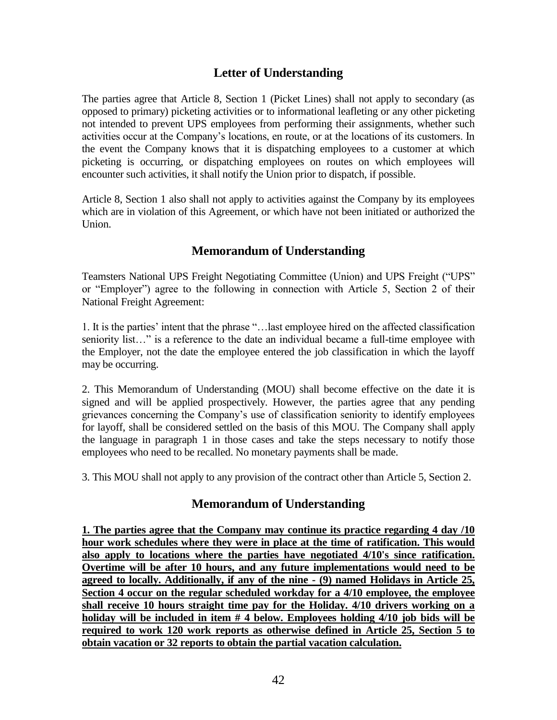## **Letter of Understanding**

The parties agree that Article 8, Section 1 (Picket Lines) shall not apply to secondary (as opposed to primary) picketing activities or to informational leafleting or any other picketing not intended to prevent UPS employees from performing their assignments, whether such activities occur at the Company's locations, en route, or at the locations of its customers. In the event the Company knows that it is dispatching employees to a customer at which picketing is occurring, or dispatching employees on routes on which employees will encounter such activities, it shall notify the Union prior to dispatch, if possible.

Article 8, Section 1 also shall not apply to activities against the Company by its employees which are in violation of this Agreement, or which have not been initiated or authorized the Union.

## **Memorandum of Understanding**

Teamsters National UPS Freight Negotiating Committee (Union) and UPS Freight ("UPS" or "Employer") agree to the following in connection with Article 5, Section 2 of their National Freight Agreement:

1. It is the parties' intent that the phrase "…last employee hired on the affected classification seniority list…" is a reference to the date an individual became a full-time employee with the Employer, not the date the employee entered the job classification in which the layoff may be occurring.

2. This Memorandum of Understanding (MOU) shall become effective on the date it is signed and will be applied prospectively. However, the parties agree that any pending grievances concerning the Company's use of classification seniority to identify employees for layoff, shall be considered settled on the basis of this MOU. The Company shall apply the language in paragraph 1 in those cases and take the steps necessary to notify those employees who need to be recalled. No monetary payments shall be made.

3. This MOU shall not apply to any provision of the contract other than Article 5, Section 2.

## **Memorandum of Understanding**

**1. The parties agree that the Company may continue its practice regarding 4 day /10 hour work schedules where they were in place at the time of ratification. This would also apply to locations where the parties have negotiated 4/10's since ratification. Overtime will be after 10 hours, and any future implementations would need to be agreed to locally. Additionally, if any of the nine - (9) named Holidays in Article 25, Section 4 occur on the regular scheduled workday for a 4/10 employee, the employee shall receive 10 hours straight time pay for the Holiday. 4/10 drivers working on a holiday will be included in item # 4 below. Employees holding 4/10 job bids will be required to work 120 work reports as otherwise defined in Article 25, Section 5 to obtain vacation or 32 reports to obtain the partial vacation calculation.**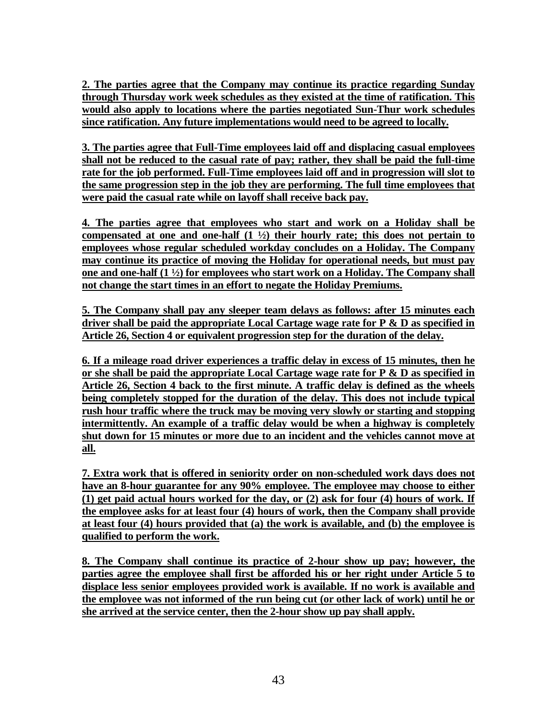**2. The parties agree that the Company may continue its practice regarding Sunday through Thursday work week schedules as they existed at the time of ratification. This would also apply to locations where the parties negotiated Sun-Thur work schedules since ratification. Any future implementations would need to be agreed to locally.**

**3. The parties agree that Full-Time employees laid off and displacing casual employees shall not be reduced to the casual rate of pay; rather, they shall be paid the full-time rate for the job performed. Full-Time employees laid off and in progression will slot to the same progression step in the job they are performing. The full time employees that were paid the casual rate while on layoff shall receive back pay.**

**4. The parties agree that employees who start and work on a Holiday shall be compensated at one and one-half (1 ½) their hourly rate; this does not pertain to employees whose regular scheduled workday concludes on a Holiday. The Company may continue its practice of moving the Holiday for operational needs, but must pay one and one-half (1 ½) for employees who start work on a Holiday. The Company shall not change the start times in an effort to negate the Holiday Premiums.**

**5. The Company shall pay any sleeper team delays as follows: after 15 minutes each driver shall be paid the appropriate Local Cartage wage rate for P & D as specified in Article 26, Section 4 or equivalent progression step for the duration of the delay.**

**6. If a mileage road driver experiences a traffic delay in excess of 15 minutes, then he or she shall be paid the appropriate Local Cartage wage rate for P & D as specified in Article 26, Section 4 back to the first minute. A traffic delay is defined as the wheels being completely stopped for the duration of the delay. This does not include typical rush hour traffic where the truck may be moving very slowly or starting and stopping intermittently. An example of a traffic delay would be when a highway is completely shut down for 15 minutes or more due to an incident and the vehicles cannot move at all.**

**7. Extra work that is offered in seniority order on non-scheduled work days does not have an 8-hour guarantee for any 90% employee. The employee may choose to either (1) get paid actual hours worked for the day, or (2) ask for four (4) hours of work. If the employee asks for at least four (4) hours of work, then the Company shall provide at least four (4) hours provided that (a) the work is available, and (b) the employee is qualified to perform the work.** 

**8. The Company shall continue its practice of 2-hour show up pay; however, the parties agree the employee shall first be afforded his or her right under Article 5 to displace less senior employees provided work is available. If no work is available and the employee was not informed of the run being cut (or other lack of work) until he or she arrived at the service center, then the 2-hour show up pay shall apply.**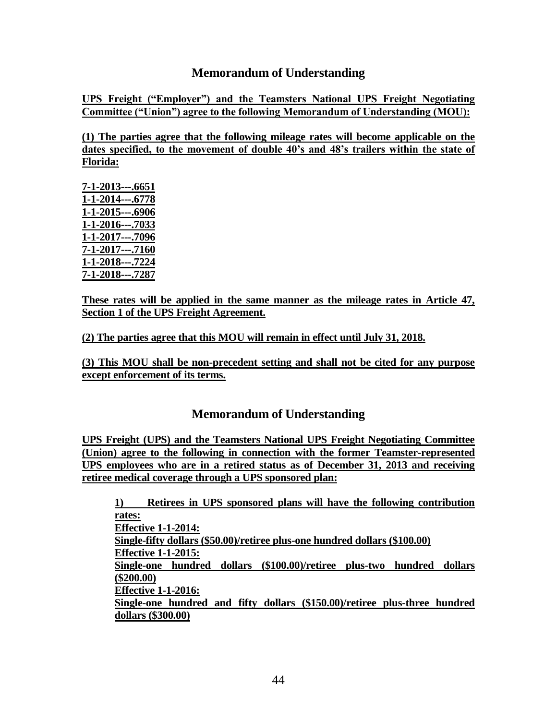## **Memorandum of Understanding**

**UPS Freight ("Employer") and the Teamsters National UPS Freight Negotiating Committee ("Union") agree to the following Memorandum of Understanding (MOU):**

**(1) The parties agree that the following mileage rates will become applicable on the dates specified, to the movement of double 40's and 48's trailers within the state of Florida:**

**7-1-2013---.6651 1-1-2014---.6778 1-1-2015---.6906 1-1-2016---.7033 1-1-2017---.7096 7-1-2017---.7160 1-1-2018---.7224 7-1-2018---.7287**

**These rates will be applied in the same manner as the mileage rates in Article 47, Section 1 of the UPS Freight Agreement.**

**(2) The parties agree that this MOU will remain in effect until July 31, 2018.**

**(3) This MOU shall be non-precedent setting and shall not be cited for any purpose except enforcement of its terms.**

## **Memorandum of Understanding**

**UPS Freight (UPS) and the Teamsters National UPS Freight Negotiating Committee (Union) agree to the following in connection with the former Teamster-represented UPS employees who are in a retired status as of December 31, 2013 and receiving retiree medical coverage through a UPS sponsored plan:**

**1) Retirees in UPS sponsored plans will have the following contribution rates: Effective 1-1-2014: Single-fifty dollars (\$50.00)/retiree plus-one hundred dollars (\$100.00) Effective 1-1-2015: Single-one hundred dollars (\$100.00)/retiree plus-two hundred dollars (\$200.00) Effective 1-1-2016: Single-one hundred and fifty dollars (\$150.00)/retiree plus-three hundred dollars (\$300.00)**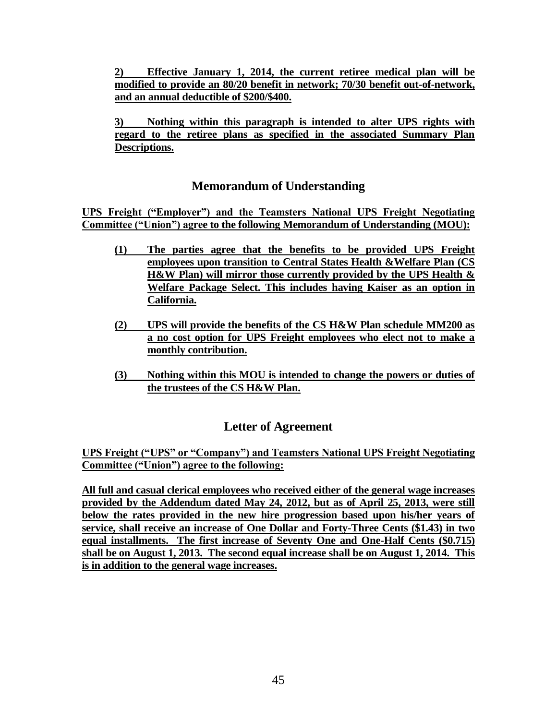**2) Effective January 1, 2014, the current retiree medical plan will be modified to provide an 80/20 benefit in network; 70/30 benefit out-of-network, and an annual deductible of \$200/\$400.**

**3) Nothing within this paragraph is intended to alter UPS rights with regard to the retiree plans as specified in the associated Summary Plan Descriptions.**

## **Memorandum of Understanding**

**UPS Freight ("Employer") and the Teamsters National UPS Freight Negotiating Committee ("Union") agree to the following Memorandum of Understanding (MOU):**

- **(1) The parties agree that the benefits to be provided UPS Freight employees upon transition to Central States Health &Welfare Plan (CS H&W Plan) will mirror those currently provided by the UPS Health & Welfare Package Select. This includes having Kaiser as an option in California.**
- **(2) UPS will provide the benefits of the CS H&W Plan schedule MM200 as a no cost option for UPS Freight employees who elect not to make a monthly contribution.**
- **(3) Nothing within this MOU is intended to change the powers or duties of the trustees of the CS H&W Plan.**

# **Letter of Agreement**

**UPS Freight ("UPS" or "Company") and Teamsters National UPS Freight Negotiating Committee ("Union") agree to the following:**

**All full and casual clerical employees who received either of the general wage increases provided by the Addendum dated May 24, 2012, but as of April 25, 2013, were still below the rates provided in the new hire progression based upon his/her years of service, shall receive an increase of One Dollar and Forty-Three Cents (\$1.43) in two equal installments. The first increase of Seventy One and One-Half Cents (\$0.715) shall be on August 1, 2013. The second equal increase shall be on August 1, 2014. This is in addition to the general wage increases.**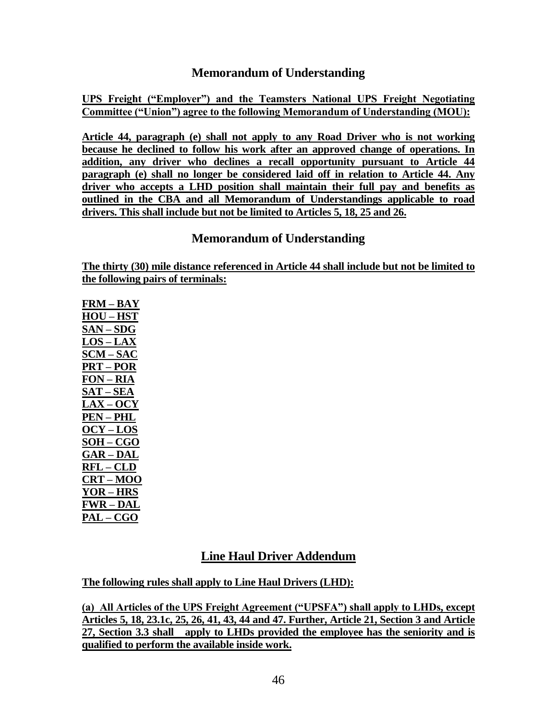## **Memorandum of Understanding**

**UPS Freight ("Employer") and the Teamsters National UPS Freight Negotiating Committee ("Union") agree to the following Memorandum of Understanding (MOU):**

**Article 44, paragraph (e) shall not apply to any Road Driver who is not working because he declined to follow his work after an approved change of operations. In addition, any driver who declines a recall opportunity pursuant to Article 44 paragraph (e) shall no longer be considered laid off in relation to Article 44. Any driver who accepts a LHD position shall maintain their full pay and benefits as outlined in the CBA and all Memorandum of Understandings applicable to road drivers. This shall include but not be limited to Articles 5, 18, 25 and 26.**

### **Memorandum of Understanding**

**The thirty (30) mile distance referenced in Article 44 shall include but not be limited to the following pairs of terminals:**

**FRM – BAY HOU – HST SAN – SDG LOS – LAX SCM – SAC PRT – POR FON – RIA SAT – SEA LAX – OCY PEN – PHL OCY – LOS SOH – CGO GAR – DAL RFL – CLD CRT – MOO YOR – HRS FWR – DAL PAL – CGO**

# **Line Haul Driver Addendum**

**The following rules shall apply to Line Haul Drivers (LHD):**

**(a) All Articles of the UPS Freight Agreement ("UPSFA") shall apply to LHDs, except Articles 5, 18, 23.1c, 25, 26, 41, 43, 44 and 47. Further, Article 21, Section 3 and Article 27, Section 3.3 shall apply to LHDs provided the employee has the seniority and is qualified to perform the available inside work.**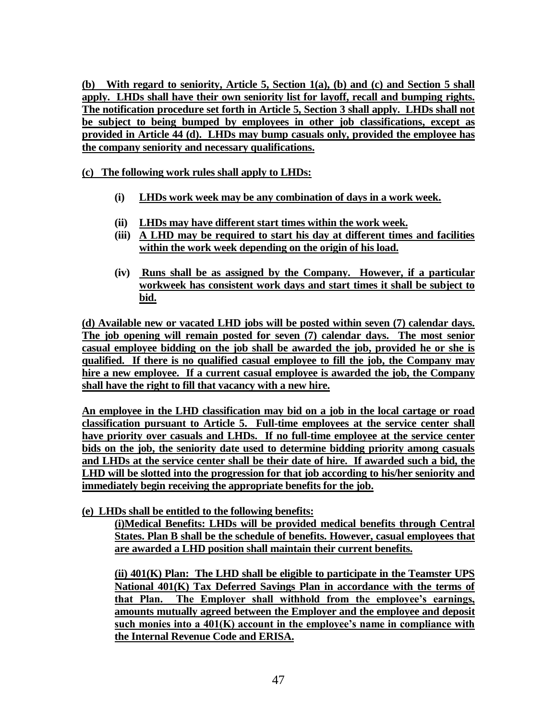**(b) With regard to seniority, Article 5, Section 1(a), (b) and (c) and Section 5 shall apply. LHDs shall have their own seniority list for layoff, recall and bumping rights. The notification procedure set forth in Article 5, Section 3 shall apply. LHDs shall not be subject to being bumped by employees in other job classifications, except as provided in Article 44 (d). LHDs may bump casuals only, provided the employee has the company seniority and necessary qualifications.**

**(c) The following work rules shall apply to LHDs:**

- **(i) LHDs work week may be any combination of days in a work week.**
- **(ii) LHDs may have different start times within the work week.**
- **(iii) A LHD may be required to start his day at different times and facilities within the work week depending on the origin of his load.**
- **(iv) Runs shall be as assigned by the Company. However, if a particular workweek has consistent work days and start times it shall be subject to bid.**

**(d) Available new or vacated LHD jobs will be posted within seven (7) calendar days. The job opening will remain posted for seven (7) calendar days. The most senior casual employee bidding on the job shall be awarded the job, provided he or she is qualified. If there is no qualified casual employee to fill the job, the Company may hire a new employee. If a current casual employee is awarded the job, the Company shall have the right to fill that vacancy with a new hire.** 

**An employee in the LHD classification may bid on a job in the local cartage or road classification pursuant to Article 5. Full-time employees at the service center shall have priority over casuals and LHDs. If no full-time employee at the service center bids on the job, the seniority date used to determine bidding priority among casuals and LHDs at the service center shall be their date of hire. If awarded such a bid, the LHD will be slotted into the progression for that job according to his/her seniority and immediately begin receiving the appropriate benefits for the job.**

**(e) LHDs shall be entitled to the following benefits:**

**(i)Medical Benefits: LHDs will be provided medical benefits through Central States. Plan B shall be the schedule of benefits. However, casual employees that are awarded a LHD position shall maintain their current benefits.**

**(ii) 401(K) Plan: The LHD shall be eligible to participate in the Teamster UPS National 401(K) Tax Deferred Savings Plan in accordance with the terms of that Plan. The Employer shall withhold from the employee's earnings, amounts mutually agreed between the Employer and the employee and deposit such monies into a 401(K) account in the employee's name in compliance with the Internal Revenue Code and ERISA.**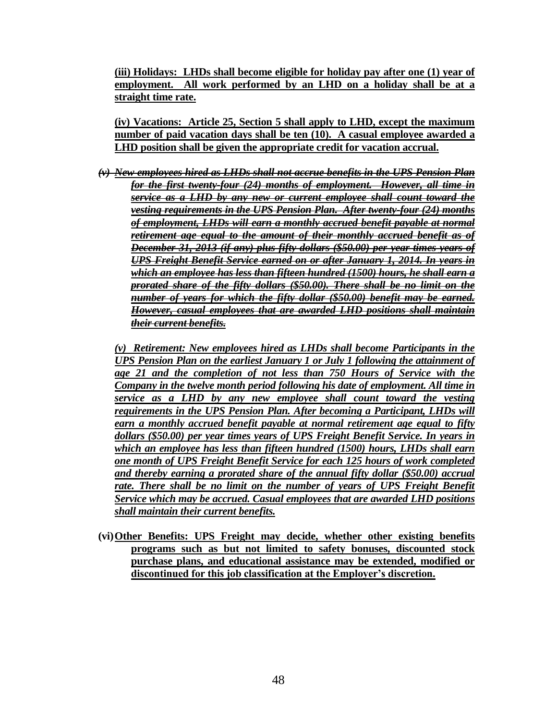**(iii) Holidays: LHDs shall become eligible for holiday pay after one (1) year of employment. All work performed by an LHD on a holiday shall be at a straight time rate.**

**(iv) Vacations: Article 25, Section 5 shall apply to LHD, except the maximum number of paid vacation days shall be ten (10). A casual employee awarded a LHD position shall be given the appropriate credit for vacation accrual.** 

*(v) New employees hired as LHDs shall not accrue benefits in the UPS Pension Plan for the first twenty-four (24) months of employment. However, all time in service as a LHD by any new or current employee shall count toward the vesting requirements in the UPS Pension Plan. After twenty-four (24) months of employment, LHDs will earn a monthly accrued benefit payable at normal retirement age equal to the amount of their monthly accrued benefit as of December 31, 2013 (if any) plus fifty dollars (\$50.00) per year times years of UPS Freight Benefit Service earned on or after January 1, 2014. In years in which an employee has less than fifteen hundred (1500) hours, he shall earn a prorated share of the fifty dollars (\$50.00). There shall be no limit on the number of years for which the fifty dollar (\$50.00) benefit may be earned. However, casual employees that are awarded LHD positions shall maintain their current benefits.*

*(v) Retirement: New employees hired as LHDs shall become Participants in the UPS Pension Plan on the earliest January 1 or July 1 following the attainment of age 21 and the completion of not less than 750 Hours of Service with the Company in the twelve month period following his date of employment. All time in service as a LHD by any new employee shall count toward the vesting requirements in the UPS Pension Plan. After becoming a Participant, LHDs will earn a monthly accrued benefit payable at normal retirement age equal to fifty dollars (\$50.00) per year times years of UPS Freight Benefit Service. In years in which an employee has less than fifteen hundred (1500) hours, LHDs shall earn one month of UPS Freight Benefit Service for each 125 hours of work completed and thereby earning a prorated share of the annual fifty dollar (\$50.00) accrual rate. There shall be no limit on the number of years of UPS Freight Benefit Service which may be accrued. Casual employees that are awarded LHD positions shall maintain their current benefits.*

**(vi)Other Benefits: UPS Freight may decide, whether other existing benefits programs such as but not limited to safety bonuses, discounted stock purchase plans, and educational assistance may be extended, modified or discontinued for this job classification at the Employer's discretion.**